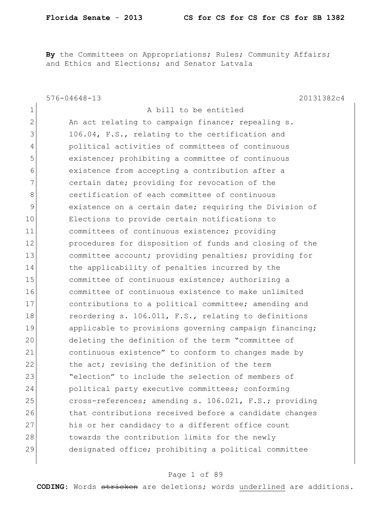By the Committees on Appropriations; Rules; Community Affairs; and Ethics and Elections; and Senator Latvala

|               | $576 - 04648 - 13$<br>20131382c4                       |
|---------------|--------------------------------------------------------|
| $\mathbf 1$   | A bill to be entitled                                  |
| $\mathbf 2$   | An act relating to campaign finance; repealing s.      |
| 3             | 106.04, F.S., relating to the certification and        |
| 4             | political activities of committees of continuous       |
| 5             | existence; prohibiting a committee of continuous       |
| 6             | existence from accepting a contribution after a        |
| 7             | certain date; providing for revocation of the          |
| 8             | certification of each committee of continuous          |
| $\mathcal{G}$ | existence on a certain date; requiring the Division of |
| 10            | Elections to provide certain notifications to          |
| 11            | committees of continuous existence; providing          |
| 12            | procedures for disposition of funds and closing of the |
| 13            | committee account; providing penalties; providing for  |
| 14            | the applicability of penalties incurred by the         |
| 15            | committee of continuous existence; authorizing a       |
| 16            | committee of continuous existence to make unlimited    |
| 17            | contributions to a political committee; amending and   |
| 18            | reordering s. 106.011, F.S., relating to definitions   |
| 19            | applicable to provisions governing campaign financing; |
| 20            | deleting the definition of the term "committee of      |
| 21            | continuous existence" to conform to changes made by    |
| 22            | the act; revising the definition of the term           |
| 23            | "election" to include the selection of members of      |
| 24            | political party executive committees; conforming       |
| 25            | cross-references; amending s. 106.021, F.S.; providing |
| 26            | that contributions received before a candidate changes |
| 27            | his or her candidacy to a different office count       |
| 28            | towards the contribution limits for the newly          |
| 29            | designated office; prohibiting a political committee   |
|               |                                                        |

## Page 1 of 89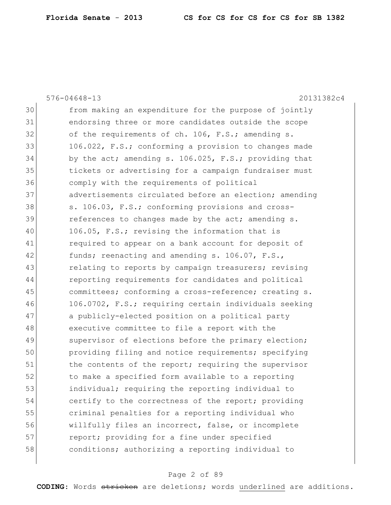|    | $576 - 04648 - 13$<br>20131382c4                       |
|----|--------------------------------------------------------|
| 30 | from making an expenditure for the purpose of jointly  |
| 31 | endorsing three or more candidates outside the scope   |
| 32 | of the requirements of ch. 106, F.S.; amending s.      |
| 33 | 106.022, F.S.; conforming a provision to changes made  |
| 34 | by the act; amending s. 106.025, F.S.; providing that  |
| 35 | tickets or advertising for a campaign fundraiser must  |
| 36 | comply with the requirements of political              |
| 37 | advertisements circulated before an election; amending |
| 38 | s. 106.03, F.S.; conforming provisions and cross-      |
| 39 | references to changes made by the act; amending s.     |
| 40 | 106.05, F.S.; revising the information that is         |
| 41 | required to appear on a bank account for deposit of    |
| 42 | funds; reenacting and amending s. 106.07, F.S.,        |
| 43 | relating to reports by campaign treasurers; revising   |
| 44 | reporting requirements for candidates and political    |
| 45 | committees; conforming a cross-reference; creating s.  |
| 46 | 106.0702, F.S.; requiring certain individuals seeking  |
| 47 | a publicly-elected position on a political party       |
| 48 | executive committee to file a report with the          |
| 49 | supervisor of elections before the primary election;   |
| 50 | providing filing and notice requirements; specifying   |
| 51 | the contents of the report; requiring the supervisor   |
| 52 | to make a specified form available to a reporting      |
| 53 | individual; requiring the reporting individual to      |
| 54 | certify to the correctness of the report; providing    |
| 55 | criminal penalties for a reporting individual who      |
| 56 | willfully files an incorrect, false, or incomplete     |
| 57 | report; providing for a fine under specified           |
| 58 | conditions; authorizing a reporting individual to      |
|    |                                                        |

# Page 2 of 89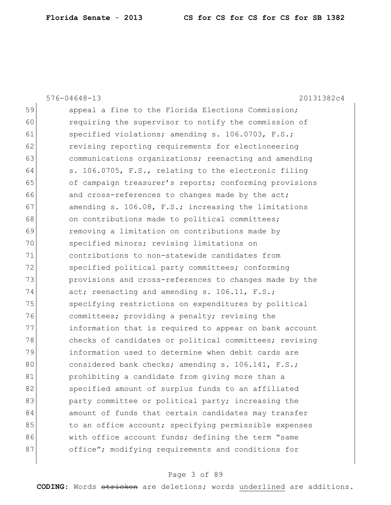|    | $576 - 04648 - 13$<br>20131382c4                       |
|----|--------------------------------------------------------|
| 59 | appeal a fine to the Florida Elections Commission;     |
| 60 | requiring the supervisor to notify the commission of   |
| 61 | specified violations; amending s. 106.0703, F.S.;      |
| 62 | revising reporting requirements for electioneering     |
| 63 | communications organizations; reenacting and amending  |
| 64 | s. 106.0705, F.S., relating to the electronic filing   |
| 65 | of campaign treasurer's reports; conforming provisions |
| 66 | and cross-references to changes made by the act;       |
| 67 | amending s. 106.08, F.S.; increasing the limitations   |
| 68 | on contributions made to political committees;         |
| 69 | removing a limitation on contributions made by         |
| 70 | specified minors; revising limitations on              |
| 71 | contributions to non-statewide candidates from         |
| 72 | specified political party committees; conforming       |
| 73 | provisions and cross-references to changes made by the |
| 74 | act; reenacting and amending s. 106.11, F.S.;          |
| 75 | specifying restrictions on expenditures by political   |
| 76 | committees; providing a penalty; revising the          |
| 77 | information that is required to appear on bank account |
| 78 | checks of candidates or political committees; revising |
| 79 | information used to determine when debit cards are     |
| 80 | considered bank checks; amending s. 106.141, F.S.;     |
| 81 | prohibiting a candidate from giving more than a        |
| 82 | specified amount of surplus funds to an affiliated     |
| 83 | party committee or political party; increasing the     |
| 84 | amount of funds that certain candidates may transfer   |
| 85 | to an office account; specifying permissible expenses  |
| 86 | with office account funds; defining the term "same     |
| 87 | office"; modifying requirements and conditions for     |
|    |                                                        |

# Page 3 of 89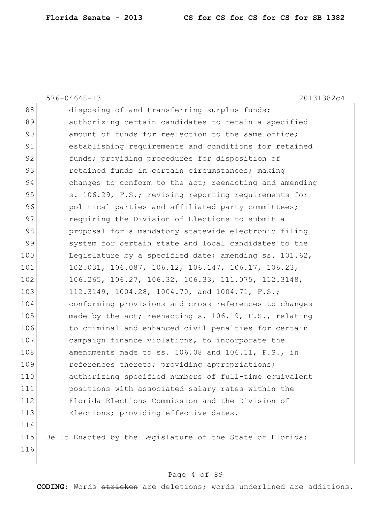|     | $576 - 04648 - 13$<br>20131382c4                          |
|-----|-----------------------------------------------------------|
| 88  | disposing of and transferring surplus funds;              |
| 89  | authorizing certain candidates to retain a specified      |
| 90  | amount of funds for reelection to the same office;        |
| 91  | establishing requirements and conditions for retained     |
| 92  | funds; providing procedures for disposition of            |
| 93  | retained funds in certain circumstances; making           |
| 94  | changes to conform to the act; reenacting and amending    |
| 95  | s. 106.29, F.S.; revising reporting requirements for      |
| 96  | political parties and affiliated party committees;        |
| 97  | requiring the Division of Elections to submit a           |
| 98  | proposal for a mandatory statewide electronic filing      |
| 99  | system for certain state and local candidates to the      |
| 100 | Legislature by a specified date; amending ss. 101.62,     |
| 101 | 102.031, 106.087, 106.12, 106.147, 106.17, 106.23,        |
| 102 | 106.265, 106.27, 106.32, 106.33, 111.075, 112.3148,       |
| 103 | 112.3149, 1004.28, 1004.70, and 1004.71, F.S.;            |
| 104 | conforming provisions and cross-references to changes     |
| 105 | made by the act; reenacting s. 106.19, F.S., relating     |
| 106 | to criminal and enhanced civil penalties for certain      |
| 107 | campaign finance violations, to incorporate the           |
| 108 | amendments made to ss. 106.08 and 106.11, F.S., in        |
| 109 | references thereto; providing appropriations;             |
| 110 | authorizing specified numbers of full-time equivalent     |
| 111 | positions with associated salary rates within the         |
| 112 | Florida Elections Commission and the Division of          |
| 113 | Elections; providing effective dates.                     |
| 114 |                                                           |
| 115 | Be It Enacted by the Legislature of the State of Florida: |
| 116 |                                                           |

# Page 4 of 89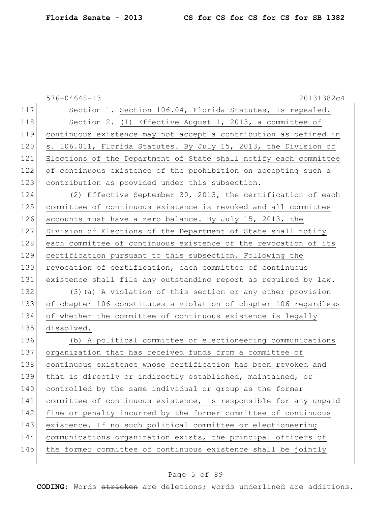|     | $576 - 04648 - 13$<br>20131382c4                                 |
|-----|------------------------------------------------------------------|
| 117 | Section 1. Section 106.04, Florida Statutes, is repealed.        |
| 118 | Section 2. (1) Effective August 1, 2013, a committee of          |
| 119 | continuous existence may not accept a contribution as defined in |
| 120 | s. 106.011, Florida Statutes. By July 15, 2013, the Division of  |
| 121 | Elections of the Department of State shall notify each committee |
| 122 | of continuous existence of the prohibition on accepting such a   |
| 123 | contribution as provided under this subsection.                  |
| 124 | (2) Effective September 30, 2013, the certification of each      |
| 125 | committee of continuous existence is revoked and all committee   |
| 126 | accounts must have a zero balance. By July 15, 2013, the         |
| 127 | Division of Elections of the Department of State shall notify    |
| 128 | each committee of continuous existence of the revocation of its  |
| 129 | certification pursuant to this subsection. Following the         |
| 130 | revocation of certification, each committee of continuous        |
| 131 | existence shall file any outstanding report as required by law.  |
| 132 | (3) (a) A violation of this section or any other provision       |
| 133 | of chapter 106 constitutes a violation of chapter 106 regardless |
| 134 | of whether the committee of continuous existence is legally      |
| 135 | dissolved.                                                       |
| 136 | (b) A political committee or electioneering communications       |
| 137 | organization that has received funds from a committee of         |
| 138 | continuous existence whose certification has been revoked and    |
| 139 | that is directly or indirectly established, maintained, or       |
| 140 | controlled by the same individual or group as the former         |
| 141 | committee of continuous existence, is responsible for any unpaid |
| 142 | fine or penalty incurred by the former committee of continuous   |
| 143 | existence. If no such political committee or electioneering      |
| 144 | communications organization exists, the principal officers of    |
| 145 | the former committee of continuous existence shall be jointly    |
|     |                                                                  |

# Page 5 of 89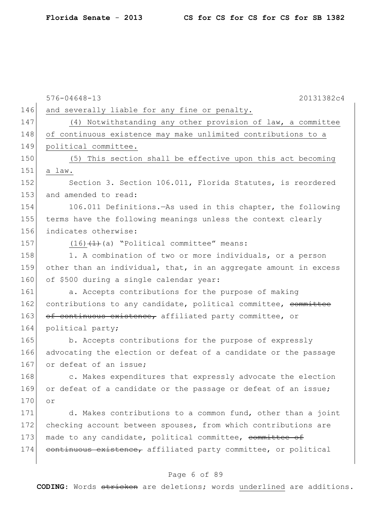|     | $576 - 04648 - 13$<br>20131382c4                                 |
|-----|------------------------------------------------------------------|
| 146 | and severally liable for any fine or penalty.                    |
| 147 | (4) Notwithstanding any other provision of law, a committee      |
| 148 | of continuous existence may make unlimited contributions to a    |
| 149 | political committee.                                             |
| 150 | (5) This section shall be effective upon this act becoming       |
| 151 | a law.                                                           |
| 152 | Section 3. Section 106.011, Florida Statutes, is reordered       |
| 153 | and amended to read:                                             |
| 154 | 106.011 Definitions. - As used in this chapter, the following    |
| 155 | terms have the following meanings unless the context clearly     |
| 156 | indicates otherwise:                                             |
| 157 | $(16)$ $(1)$ $(4)$ $"Politional$ committee" means:               |
| 158 | 1. A combination of two or more individuals, or a person         |
| 159 | other than an individual, that, in an aggregate amount in excess |
| 160 | of \$500 during a single calendar year:                          |
| 161 | a. Accepts contributions for the purpose of making               |
| 162 | contributions to any candidate, political committee, committee   |
| 163 | of continuous existence, affiliated party committee, or          |
| 164 | political party;                                                 |
| 165 | b. Accepts contributions for the purpose of expressly            |
| 166 | advocating the election or defeat of a candidate or the passage  |
| 167 | or defeat of an issue;                                           |
| 168 | c. Makes expenditures that expressly advocate the election       |
| 169 | or defeat of a candidate or the passage or defeat of an issue;   |
| 170 | Оr                                                               |
| 171 | d. Makes contributions to a common fund, other than a joint      |
| 172 | checking account between spouses, from which contributions are   |
| 173 | made to any candidate, political committee, committee of         |
| 174 | continuous existence, affiliated party committee, or political   |

# Page 6 of 89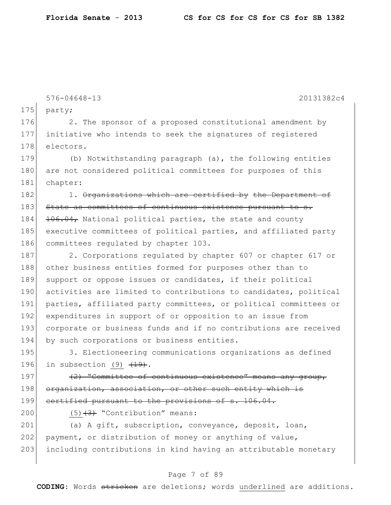576-04648-13 20131382c4

175 party;

176 2. The sponsor of a proposed constitutional amendment by 177 initiative who intends to seek the signatures of registered 178 electors.

179 (b) Notwithstanding paragraph (a), the following entities 180 are not considered political committees for purposes of this 181 chapter:

 $182$  1. Organizations which are certified by the Department of 183 State as committees of continuous existence pursuant to s. 184 106.04, National political parties, the state and county 185 executive committees of political parties, and affiliated party 186 committees regulated by chapter 103.

187 2. Corporations regulated by chapter 607 or chapter 617 or 188 other business entities formed for purposes other than to 189 support or oppose issues or candidates, if their political 190 activities are limited to contributions to candidates, political 191 parties, affiliated party committees, or political committees or 192 expenditures in support of or opposition to an issue from 193 corporate or business funds and if no contributions are received 194 by such corporations or business entities.

195 3. Electioneering communications organizations as defined 196 in subsection  $(9)$   $\overline{(19)}$ .

197  $(2)$  "Committee of continuous existence" means any group, 198 organization, association, or other such entity which is 199 certified pursuant to the provisions of s. 106.04.

200  $(5)$   $\overline{3}$  "Contribution" means:

201 (a) A gift, subscription, conveyance, deposit, loan,  $202$  payment, or distribution of money or anything of value, 203 including contributions in kind having an attributable monetary

## Page 7 of 89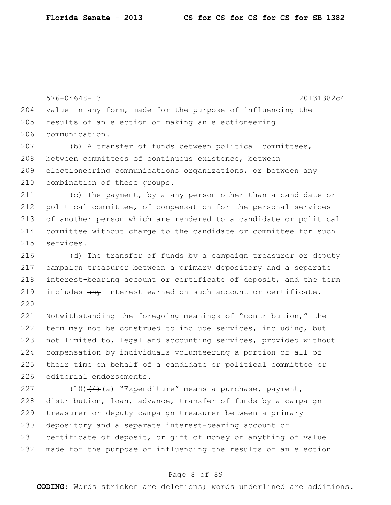|     | $576 - 04648 - 13$<br>20131382c4                                 |
|-----|------------------------------------------------------------------|
| 204 | value in any form, made for the purpose of influencing the       |
| 205 | results of an election or making an electioneering               |
| 206 | communication.                                                   |
| 207 | (b) A transfer of funds between political committees,            |
| 208 | between committees of continuous existence, between              |
| 209 | electioneering communications organizations, or between any      |
| 210 | combination of these groups.                                     |
| 211 | (c) The payment, by a any person other than a candidate or       |
| 212 | political committee, of compensation for the personal services   |
| 213 | of another person which are rendered to a candidate or political |
| 214 | committee without charge to the candidate or committee for such  |
| 215 | services.                                                        |
| 216 |                                                                  |
| 217 | (d) The transfer of funds by a campaign treasurer or deputy      |
| 218 | campaign treasurer between a primary depository and a separate   |
|     | interest-bearing account or certificate of deposit, and the term |
| 219 | includes any interest earned on such account or certificate.     |
| 220 |                                                                  |
| 221 | Notwithstanding the foregoing meanings of "contribution," the    |
| 222 | term may not be construed to include services, including, but    |
| 223 | not limited to, legal and accounting services, provided without  |
| 224 | compensation by individuals volunteering a portion or all of     |
| 225 | their time on behalf of a candidate or political committee or    |
| 226 | editorial endorsements.                                          |
| 227 | $(10)$ $(4)$ (a) "Expenditure" means a purchase, payment,        |
| 228 | distribution, loan, advance, transfer of funds by a campaign     |
| 229 | treasurer or deputy campaign treasurer between a primary         |
| 230 | depository and a separate interest-bearing account or            |
| 231 | certificate of deposit, or gift of money or anything of value    |
| 232 | made for the purpose of influencing the results of an election   |

# Page 8 of 89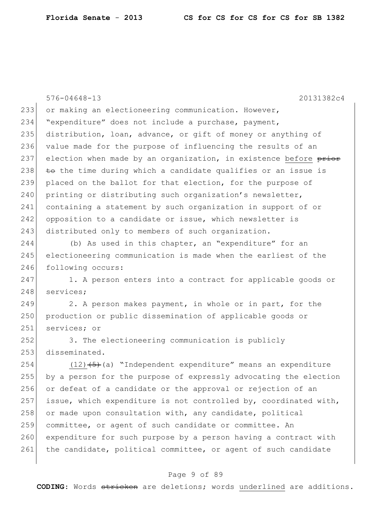576-04648-13 20131382c4 233 or making an electioneering communication. However, 234 "expenditure" does not include a purchase, payment, 235 distribution, loan, advance, or gift of money or anything of 236 value made for the purpose of influencing the results of an 237 election when made by an organization, in existence before  $\frac{\text{prior}}{\text{prior}}$ 238  $\pm$   $\leftrightarrow$  the time during which a candidate qualifies or an issue is 239 placed on the ballot for that election, for the purpose of 240 printing or distributing such organization's newsletter, 241 containing a statement by such organization in support of or 242 opposition to a candidate or issue, which newsletter is 243 distributed only to members of such organization. 244 (b) As used in this chapter, an "expenditure" for an 245 electioneering communication is made when the earliest of the 246 following occurs: 247 1. A person enters into a contract for applicable goods or 248 services; 249 2. A person makes payment, in whole or in part, for the 250 production or public dissemination of applicable goods or 251 services; or 252 3. The electioneering communication is publicly 253 disseminated. 254  $(12)$   $(5)$  (a) "Independent expenditure" means an expenditure 255 by a person for the purpose of expressly advocating the election 256 or defeat of a candidate or the approval or rejection of an 257 issue, which expenditure is not controlled by, coordinated with, 258 or made upon consultation with, any candidate, political 259 committee, or agent of such candidate or committee. An 260 expenditure for such purpose by a person having a contract with 261 the candidate, political committee, or agent of such candidate

## Page 9 of 89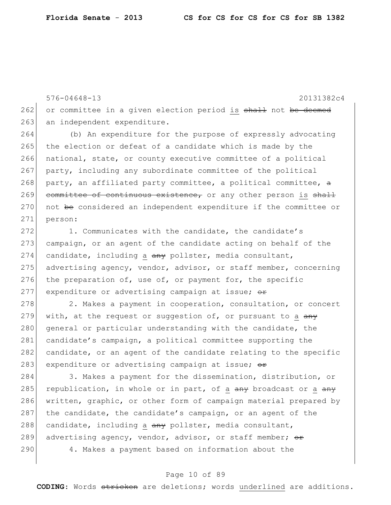576-04648-13 20131382c4  $262$  or committee in a given election period is  $shall$  not be deemed 263 an independent expenditure. 264 (b) An expenditure for the purpose of expressly advocating 265 the election or defeat of a candidate which is made by the 266 national, state, or county executive committee of a political 267 party, including any subordinate committee of the political 268 party, an affiliated party committee, a political committee,  $\theta$ 269 committee of continuous existence, or any other person is shall  $270$  not be considered an independent expenditure if the committee or 271 person:  $272$  1. Communicates with the candidate, the candidate's 273 campaign, or an agent of the candidate acting on behalf of the

274 candidate, including a  $\frac{a}{a}$  pollster, media consultant, 275 advertising agency, vendor, advisor, or staff member, concerning 276 the preparation of, use of, or payment for, the specific 277 expenditure or advertising campaign at issue;  $\theta$ 

278 2. Makes a payment in cooperation, consultation, or concert 279 with, at the request or suggestion of, or pursuant to a  $\frac{any}{x}$ 280 general or particular understanding with the candidate, the 281 candidate's campaign, a political committee supporting the 282 candidate, or an agent of the candidate relating to the specific 283 expenditure or advertising campaign at issue; or

284 3. Makes a payment for the dissemination, distribution, or 285 republication, in whole or in part, of a  $\frac{amy}{285}$  broadcast or a  $\frac{amy}{285}$ 286 written, graphic, or other form of campaign material prepared by 287 the candidate, the candidate's campaign, or an agent of the 288 candidate, including a any pollster, media consultant, 289 advertising agency, vendor, advisor, or staff member;  $\Theta$ r 290 4. Makes a payment based on information about the

## Page 10 of 89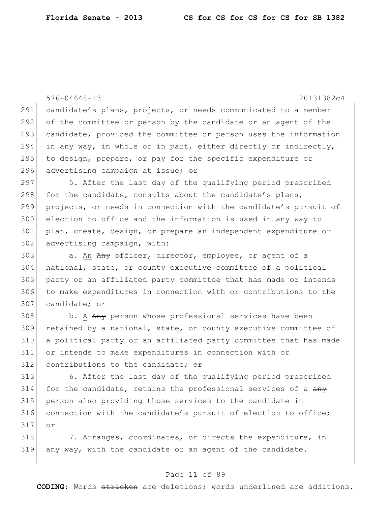or

576-04648-13 20131382c4 291 candidate's plans, projects, or needs communicated to a member of the committee or person by the candidate or an agent of the candidate, provided the committee or person uses the information in any way, in whole or in part, either directly or indirectly, 295 to design, prepare, or pay for the specific expenditure or 296 advertising campaign at issue;  $\Theta$ r 5. After the last day of the qualifying period prescribed 298 for the candidate, consults about the candidate's plans, projects, or needs in connection with the candidate's pursuit of election to office and the information is used in any way to plan, create, design, or prepare an independent expenditure or 302 advertising campaign, with: 303 a. An Any officer, director, employee, or agent of a national, state, or county executive committee of a political party or an affiliated party committee that has made or intends to make expenditures in connection with or contributions to the candidate; or 308 b. A Any person whose professional services have been retained by a national, state, or county executive committee of a political party or an affiliated party committee that has made or intends to make expenditures in connection with or 312 contributions to the candidate;  $\theta$ r 6. After the last day of the qualifying period prescribed for the candidate, retains the professional services of a  $\frac{any}{x}$  person also providing those services to the candidate in connection with the candidate's pursuit of election to office;

318 7. Arranges, coordinates, or directs the expenditure, in any way, with the candidate or an agent of the candidate.

## Page 11 of 89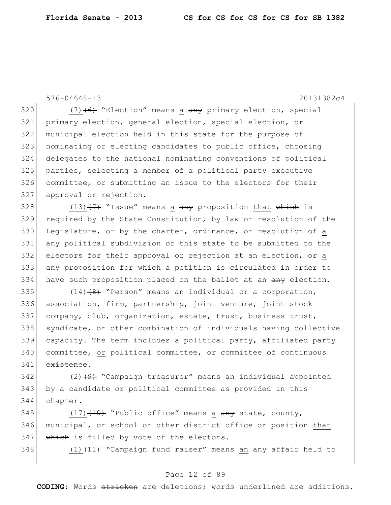```
576-04648-13 20131382c4
```
 $(7)$  (6) "Election" means a  $\frac{any}{any}$  primary election, special primary election, general election, special election, or municipal election held in this state for the purpose of nominating or electing candidates to public office, choosing delegates to the national nominating conventions of political parties, selecting a member of a political party executive committee, or submitting an issue to the electors for their 327 approval or rejection.

328 (13) $(7)$  "Issue" means a any proposition that which is 329 required by the State Constitution, by law or resolution of the 330 Legislature, or by the charter, ordinance, or resolution of a 331 any political subdivision of this state to be submitted to the 332 electors for their approval or rejection at an election, or a 333 any proposition for which a petition is circulated in order to 334 have such proposition placed on the ballot at an any election.

 $(14)$   $(8)$  "Person" means an individual or a corporation, association, firm, partnership, joint venture, joint stock company, club, organization, estate, trust, business trust, syndicate, or other combination of individuals having collective capacity. The term includes a political party, affiliated party 340 committee, or political committee, or committee of continuous 341 existence.

342 (2)  $(2)$  "Campaign treasurer" means an individual appointed 343 by a candidate or political committee as provided in this 344 chapter.

345 (17) $(17)$  "Public office" means a  $\frac{any}{x}$  state, county, 346 municipal, or school or other district office or position that 347 Which is filled by vote of the electors.

348  $(1)$   $(11)$   $(11)$  "Campaign fund raiser" means an  $\frac{1}{2}$  affair held to

## Page 12 of 89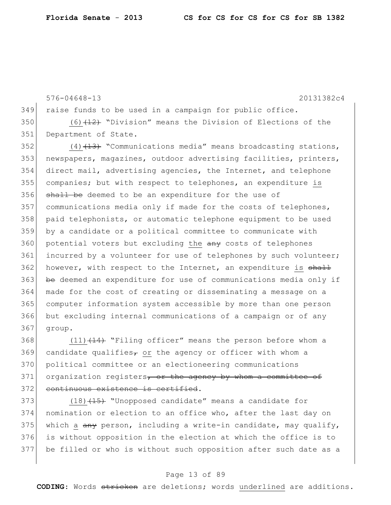```
576-04648-13 20131382c4
349 raise funds to be used in a campaign for public office.
350 (6)(12) "Division" means the Division of Elections of the
351 Department of State.
352 (4) (13) "Communications media" means broadcasting stations,
353 newspapers, magazines, outdoor advertising facilities, printers,
354 direct mail, advertising agencies, the Internet, and telephone 
355 companies; but with respect to telephones, an expenditure is
356 shall be deemed to be an expenditure for the use of
357 communications media only if made for the costs of telephones,
358 paid telephonists, or automatic telephone equipment to be used 
359 by a candidate or a political committee to communicate with 
360 potential voters but excluding the any costs of telephones
361 incurred by a volunteer for use of telephones by such volunteer;
362 however, with respect to the Internet, an expenditure is \frac{11}{2}363 be deemed an expenditure for use of communications media only if
364 made for the cost of creating or disseminating a message on a 
365 computer information system accessible by more than one person 
366 but excluding internal communications of a campaign or of any 
367 group.
```
368  $(11)$   $(14)$  "Filing officer" means the person before whom a 369 candidate qualifies<sub> $\tau$ </sub> or the agency or officer with whom a 370 political committee or an electioneering communications  $371$  organization registers, or the agency by whom a committee of 372 continuous existence is certified.

373 (18)<del>(15)</del> "Unopposed candidate" means a candidate for 374 nomination or election to an office who, after the last day on 375 which a  $\frac{any}{x}$  person, including a write-in candidate, may qualify, 376 is without opposition in the election at which the office is to 377 be filled or who is without such opposition after such date as a

## Page 13 of 89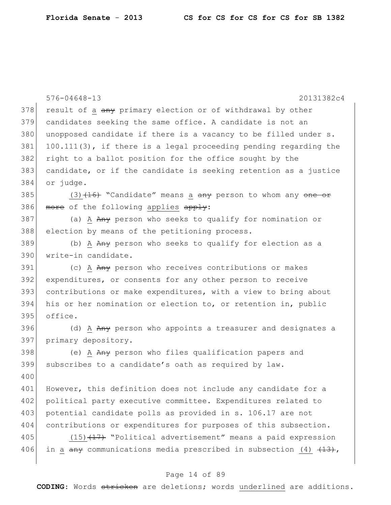|     | 20131382c4<br>$576 - 04648 - 13$                                                            |
|-----|---------------------------------------------------------------------------------------------|
| 378 | result of a any primary election or of withdrawal by other                                  |
| 379 | candidates seeking the same office. A candidate is not an                                   |
| 380 | unopposed candidate if there is a vacancy to be filled under s.                             |
| 381 | $100.111(3)$ , if there is a legal proceeding pending regarding the                         |
| 382 | right to a ballot position for the office sought by the                                     |
| 383 | candidate, or if the candidate is seeking retention as a justice                            |
| 384 | or judge.                                                                                   |
| 385 | $(3)$ $(16)$ "Candidate" means a $\frac{any}{x}$ person to whom any $\frac{one}{x}$         |
| 386 | more of the following applies apply:                                                        |
| 387 | (a) A Any person who seeks to qualify for nomination or                                     |
| 388 | election by means of the petitioning process.                                               |
| 389 | (b) A Any person who seeks to qualify for election as a                                     |
| 390 | write-in candidate.                                                                         |
| 391 | (c) A Any person who receives contributions or makes                                        |
| 392 | expenditures, or consents for any other person to receive                                   |
| 393 | contributions or make expenditures, with a view to bring about                              |
| 394 | his or her nomination or election to, or retention in, public                               |
| 395 | office.                                                                                     |
| 396 | (d) A Any person who appoints a treasurer and designates a                                  |
| 397 | primary depository.                                                                         |
| 398 | (e) A Any person who files qualification papers and                                         |
| 399 | subscribes to a candidate's oath as required by law.                                        |
| 400 |                                                                                             |
| 401 | However, this definition does not include any candidate for a                               |
| 402 | political party executive committee. Expenditures related to                                |
| 403 | potential candidate polls as provided in s. 106.17 are not                                  |
| 404 | contributions or expenditures for purposes of this subsection.                              |
| 405 | $(15)$ $(17)$ "Political advertisement" means a paid expression                             |
| 406 | in a $\frac{any}{13}$ , communications media prescribed in subsection (4) $\frac{13}{13}$ , |
|     |                                                                                             |

# Page 14 of 89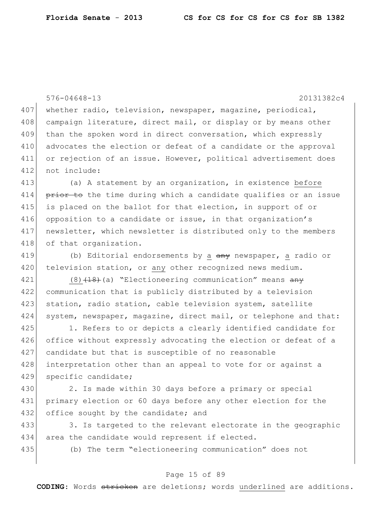576-04648-13 20131382c4 407 whether radio, television, newspaper, magazine, periodical, 408 campaign literature, direct mail, or display or by means other 409 than the spoken word in direct conversation, which expressly 410 advocates the election or defeat of a candidate or the approval 411 or rejection of an issue. However, political advertisement does 412 not include: 413 (a) A statement by an organization, in existence before 414 prior to the time during which a candidate qualifies or an issue 415 is placed on the ballot for that election, in support of or 416 opposition to a candidate or issue, in that organization's 417 newsletter, which newsletter is distributed only to the members 418 of that organization. 419 (b) Editorial endorsements by a  $\frac{any}{any}$  newspaper, a radio or 420 television station, or any other recognized news medium. 421 (8)<del>(18)</del>(a) "Electioneering communication" means any 422 communication that is publicly distributed by a television 423 station, radio station, cable television system, satellite 424 system, newspaper, magazine, direct mail, or telephone and that: 425 1. Refers to or depicts a clearly identified candidate for 426 office without expressly advocating the election or defeat of a 427 candidate but that is susceptible of no reasonable 428 interpretation other than an appeal to vote for or against a 429 specific candidate; 430 2. Is made within 30 days before a primary or special 431 primary election or 60 days before any other election for the 432 office sought by the candidate; and 433 3. Is targeted to the relevant electorate in the geographic 434 area the candidate would represent if elected. 435 (b) The term "electioneering communication" does not

#### Page 15 of 89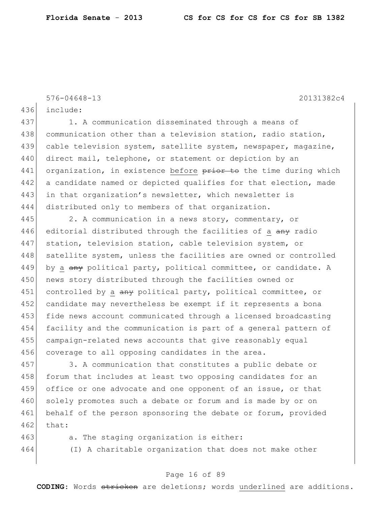576-04648-13 20131382c4

436 include:

437 1. A communication disseminated through a means of 438 communication other than a television station, radio station, 439 cable television system, satellite system, newspaper, magazine, 440 direct mail, telephone, or statement or depiction by an 441 organization, in existence before prior to the time during which 442 a candidate named or depicted qualifies for that election, made 443 in that organization's newsletter, which newsletter is 444 distributed only to members of that organization.

445 2. A communication in a news story, commentary, or 446 editorial distributed through the facilities of a  $\frac{any}{x}$  radio 447 station, television station, cable television system, or 448 satellite system, unless the facilities are owned or controlled 449 by a  $\frac{any}{b}$  political party, political committee, or candidate. A 450 news story distributed through the facilities owned or 451 controlled by a any political party, political committee, or 452 candidate may nevertheless be exempt if it represents a bona 453 fide news account communicated through a licensed broadcasting 454 facility and the communication is part of a general pattern of 455 campaign-related news accounts that give reasonably equal 456 coverage to all opposing candidates in the area.

457 3. A communication that constitutes a public debate or 458 forum that includes at least two opposing candidates for an 459 office or one advocate and one opponent of an issue, or that 460 solely promotes such a debate or forum and is made by or on 461 behalf of the person sponsoring the debate or forum, provided  $462$  that:

463 a. The staging organization is either:

464 (I) A charitable organization that does not make other

## Page 16 of 89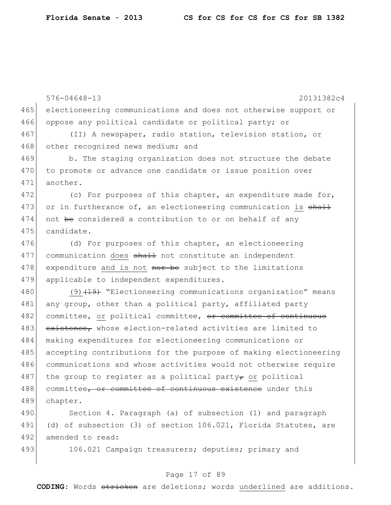576-04648-13 20131382c4 465 electioneering communications and does not otherwise support or 466 oppose any political candidate or political party; or 467 (II) A newspaper, radio station, television station, or 468 other recognized news medium; and 469 b. The staging organization does not structure the debate 470 to promote or advance one candidate or issue position over 471 another. 472 (c) For purposes of this chapter, an expenditure made for, 473 or in furtherance of, an electioneering communication is  $\frac{1}{2}$ 474 not be considered a contribution to or on behalf of any 475 candidate. 476 (d) For purposes of this chapter, an electioneering 477 communication does shall not constitute an independent 478 expenditure and is not nor be subject to the limitations 479 applicable to independent expenditures. 480 (9) (19) "Electioneering communications organization" means 481 any group, other than a political party, affiliated party 482 committee, or political committee, or committee of continuous 483 existence, whose election-related activities are limited to 484 making expenditures for electioneering communications or 485 accepting contributions for the purpose of making electioneering 486 communications and whose activities would not otherwise require 487 the group to register as a political party<sub>r</sub> or political 488 committee, or committee of continuous existence under this 489 chapter. 490 Section 4. Paragraph (a) of subsection (1) and paragraph

491 (d) of subsection (3) of section 106.021, Florida Statutes, are 492 amended to read:

493 106.021 Campaign treasurers; deputies; primary and

## Page 17 of 89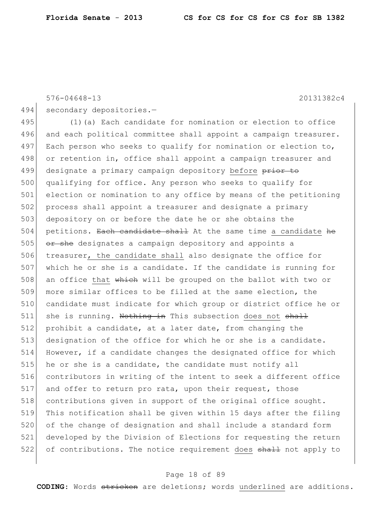576-04648-13 20131382c4

494 secondary depositories.-

495 (1)(a) Each candidate for nomination or election to office 496 and each political committee shall appoint a campaign treasurer. 497 Each person who seeks to qualify for nomination or election to, 498 or retention in, office shall appoint a campaign treasurer and 499 designate a primary campaign depository before prior to 500 qualifying for office. Any person who seeks to qualify for 501 election or nomination to any office by means of the petitioning 502 process shall appoint a treasurer and designate a primary 503 depository on or before the date he or she obtains the  $504$  petitions. Each candidate shall At the same time a candidate he  $505$  or she designates a campaign depository and appoints a 506 treasurer, the candidate shall also designate the office for  $507$  which he or she is a candidate. If the candidate is running for 508 an office that which will be grouped on the ballot with two or 509 more similar offices to be filled at the same election, the 510 candidate must indicate for which group or district office he or  $511$  she is running. Nothing in This subsection does not shall 512 prohibit a candidate, at a later date, from changing the 513 designation of the office for which he or she is a candidate. 514 However, if a candidate changes the designated office for which  $515$  he or she is a candidate, the candidate must notify all 516 contributors in writing of the intent to seek a different office 517 and offer to return pro rata, upon their request, those 518 contributions given in support of the original office sought. 519 This notification shall be given within 15 days after the filing 520 of the change of designation and shall include a standard form 521 developed by the Division of Elections for requesting the return 522 of contributions. The notice requirement does shall not apply to

## Page 18 of 89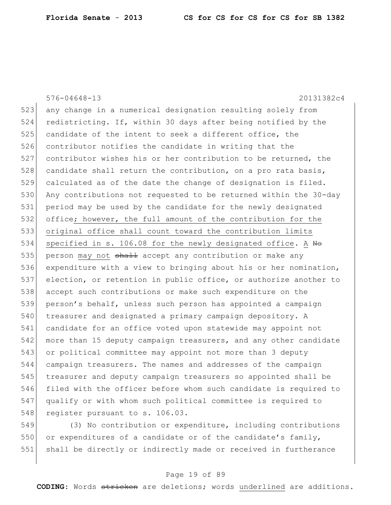576-04648-13 20131382c4 523 any change in a numerical designation resulting solely from 524 redistricting. If, within 30 days after being notified by the  $525$  candidate of the intent to seek a different office, the 526 contributor notifies the candidate in writing that the 527 contributor wishes his or her contribution to be returned, the 528 candidate shall return the contribution, on a pro rata basis,  $529$  calculated as of the date the change of designation is filed. 530 Any contributions not requested to be returned within the 30-day 531 period may be used by the candidate for the newly designated 532 office; however, the full amount of the contribution for the 533 original office shall count toward the contribution limits 534 specified in s. 106.08 for the newly designated office. A  $N_{\Theta}$ 535 person may not  $shath$  accept any contribution or make any 536 expenditure with a view to bringing about his or her nomination, 537 election, or retention in public office, or authorize another to 538 accept such contributions or make such expenditure on the 539 person's behalf, unless such person has appointed a campaign 540 treasurer and designated a primary campaign depository. A 541 candidate for an office voted upon statewide may appoint not 542 more than 15 deputy campaign treasurers, and any other candidate 543 or political committee may appoint not more than 3 deputy 544 campaign treasurers. The names and addresses of the campaign 545 treasurer and deputy campaign treasurers so appointed shall be 546 filed with the officer before whom such candidate is required to 547 qualify or with whom such political committee is required to 548 register pursuant to s. 106.03.

549 (3) No contribution or expenditure, including contributions 550 or expenditures of a candidate or of the candidate's family, 551 shall be directly or indirectly made or received in furtherance

## Page 19 of 89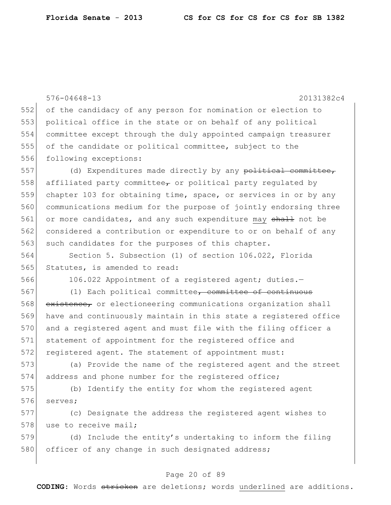576-04648-13 20131382c4 552 of the candidacy of any person for nomination or election to 553 political office in the state or on behalf of any political 554 committee except through the duly appointed campaign treasurer 555 of the candidate or political committee, subject to the 556 following exceptions: 557 (d) Expenditures made directly by any political committee, 558 affiliated party committee, or political party regulated by 559 chapter 103 for obtaining time, space, or services in or by any 560 communications medium for the purpose of jointly endorsing three 561 or more candidates, and any such expenditure may shall not be 562 considered a contribution or expenditure to or on behalf of any 563 such candidates for the purposes of this chapter. 564 Section 5. Subsection (1) of section 106.022, Florida 565 Statutes, is amended to read: 566 106.022 Appointment of a registered agent; duties.-567 (1) Each political committee, committee of continuous 568 existence, or electioneering communications organization shall 569 have and continuously maintain in this state a registered office 570 and a registered agent and must file with the filing officer a 571 statement of appointment for the registered office and 572 registered agent. The statement of appointment must: 573 (a) Provide the name of the registered agent and the street 574 address and phone number for the registered office; 575 (b) Identify the entity for whom the registered agent 576 serves; 577 (c) Designate the address the registered agent wishes to 578 use to receive mail; 579 (d) Include the entity's undertaking to inform the filing 580 officer of any change in such designated address;

## Page 20 of 89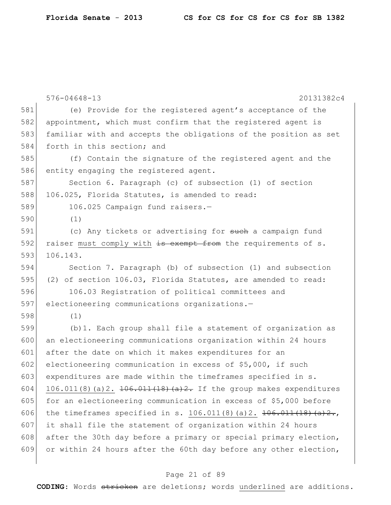|     | $576 - 04648 - 13$<br>20131382c4                                            |
|-----|-----------------------------------------------------------------------------|
| 581 | (e) Provide for the registered agent's acceptance of the                    |
| 582 | appointment, which must confirm that the registered agent is                |
| 583 | familiar with and accepts the obligations of the position as set            |
| 584 | forth in this section; and                                                  |
| 585 |                                                                             |
|     | (f) Contain the signature of the registered agent and the                   |
| 586 | entity engaging the registered agent.                                       |
| 587 | Section 6. Paragraph (c) of subsection (1) of section                       |
| 588 | 106.025, Florida Statutes, is amended to read:                              |
| 589 | 106.025 Campaign fund raisers.-                                             |
| 590 | (1)                                                                         |
| 591 | (c) Any tickets or advertising for such a campaign fund                     |
| 592 | raiser must comply with is exempt from the requirements of s.               |
| 593 | 106.143.                                                                    |
| 594 | Section 7. Paragraph (b) of subsection (1) and subsection                   |
| 595 | (2) of section 106.03, Florida Statutes, are amended to read:               |
| 596 | 106.03 Registration of political committees and                             |
| 597 | electioneering communications organizations.-                               |
| 598 | (1)                                                                         |
| 599 | (b) 1. Each group shall file a statement of organization as                 |
| 600 | an electioneering communications organization within 24 hours               |
| 601 | after the date on which it makes expenditures for an                        |
| 602 | electioneering communication in excess of \$5,000, if such                  |
| 603 | expenditures are made within the timeframes specified in s.                 |
| 604 | $106.011(8)$ (a) 2. $\pm 06.011(18)$ (a) 2. If the group makes expenditures |
| 605 | for an electioneering communication in excess of \$5,000 before             |
| 606 | the timeframes specified in s. $106.011(8)$ (a) 2. $106.011(18)$ (a) $2.$   |
| 607 | it shall file the statement of organization within 24 hours                 |
| 608 | after the 30th day before a primary or special primary election,            |
| 609 | or within 24 hours after the 60th day before any other election,            |
|     |                                                                             |

# Page 21 of 89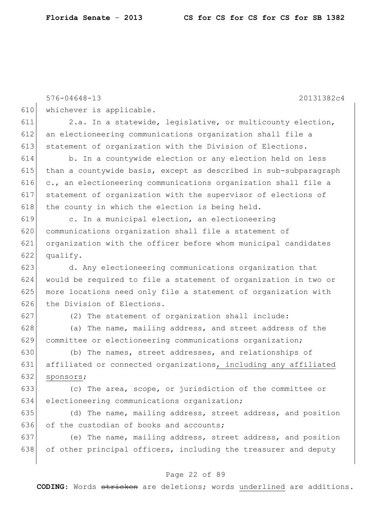|     | $576 - 04648 - 13$<br>20131382c4                                 |
|-----|------------------------------------------------------------------|
| 610 | whichever is applicable.                                         |
| 611 | 2.a. In a statewide, legislative, or multicounty election,       |
| 612 | an electioneering communications organization shall file a       |
| 613 | statement of organization with the Division of Elections.        |
| 614 | b. In a countywide election or any election held on less         |
| 615 | than a countywide basis, except as described in sub-subparagraph |
| 616 | c., an electioneering communications organization shall file a   |
| 617 | statement of organization with the supervisor of elections of    |
| 618 | the county in which the election is being held.                  |
| 619 | c. In a municipal election, an electioneering                    |
| 620 | communications organization shall file a statement of            |
| 621 | organization with the officer before whom municipal candidates   |
| 622 | qualify.                                                         |
| 623 | d. Any electioneering communications organization that           |
| 624 | would be required to file a statement of organization in two or  |
| 625 | more locations need only file a statement of organization with   |
| 626 | the Division of Elections.                                       |
| 627 | (2) The statement of organization shall include:                 |
| 628 | (a) The name, mailing address, and street address of the         |
| 629 | committee or electioneering communications organization;         |
| 630 | (b) The names, street addresses, and relationships of            |
| 631 | affiliated or connected organizations, including any affiliated  |
| 632 | sponsors;                                                        |
| 633 | (c) The area, scope, or jurisdiction of the committee or         |
| 634 | electioneering communications organization;                      |
| 635 | (d) The name, mailing address, street address, and position      |
| 636 | of the custodian of books and accounts;                          |
| 637 | (e) The name, mailing address, street address, and position      |
| 638 | of other principal officers, including the treasurer and deputy  |
|     |                                                                  |

# Page 22 of 89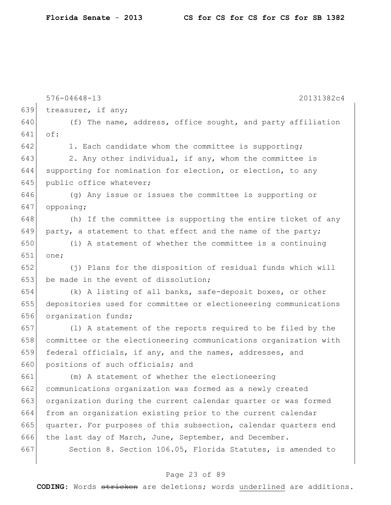|     | $576 - 04648 - 13$<br>20131382c4                                 |
|-----|------------------------------------------------------------------|
| 639 | treasurer, if any;                                               |
| 640 | (f) The name, address, office sought, and party affiliation      |
| 641 | of:                                                              |
| 642 | 1. Each candidate whom the committee is supporting;              |
| 643 | 2. Any other individual, if any, whom the committee is           |
| 644 | supporting for nomination for election, or election, to any      |
| 645 | public office whatever;                                          |
| 646 | (g) Any issue or issues the committee is supporting or           |
| 647 | opposing;                                                        |
| 648 | (h) If the committee is supporting the entire ticket of any      |
| 649 | party, a statement to that effect and the name of the party;     |
| 650 | (i) A statement of whether the committee is a continuing         |
| 651 | one;                                                             |
| 652 | (j) Plans for the disposition of residual funds which will       |
| 653 | be made in the event of dissolution;                             |
| 654 | (k) A listing of all banks, safe-deposit boxes, or other         |
| 655 | depositories used for committee or electioneering communications |
| 656 | organization funds;                                              |
| 657 | (1) A statement of the reports required to be filed by the       |
| 658 | committee or the electioneering communications organization with |
| 659 | federal officials, if any, and the names, addresses, and         |
| 660 | positions of such officials; and                                 |
| 661 | (m) A statement of whether the electioneering                    |
| 662 | communications organization was formed as a newly created        |
| 663 | organization during the current calendar quarter or was formed   |
| 664 | from an organization existing prior to the current calendar      |
| 665 | quarter. For purposes of this subsection, calendar quarters end  |
| 666 | the last day of March, June, September, and December.            |
| 667 | Section 8. Section 106.05, Florida Statutes, is amended to       |
|     |                                                                  |

# Page 23 of 89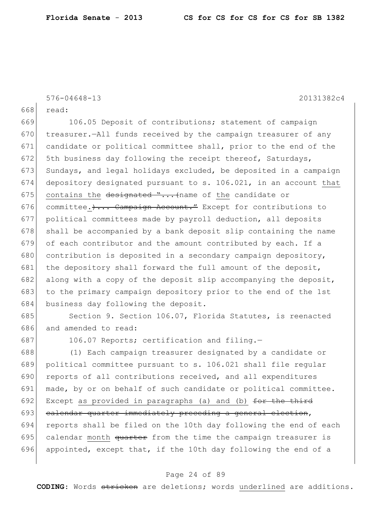576-04648-13 20131382c4

668 read:

669 106.05 Deposit of contributions; statement of campaign 670 treasurer.—All funds received by the campaign treasurer of any 671 candidate or political committee shall, prior to the end of the 672 5th business day following the receipt thereof, Saturdays, 673 Sundays, and legal holidays excluded, be deposited in a campaign 674 depository designated pursuant to s. 106.021, in an account that 675 contains the designated "... (name of the candidate or 676 committee.)... Campaign Account." Except for contributions to 677 political committees made by payroll deduction, all deposits  $678$  shall be accompanied by a bank deposit slip containing the name 679 of each contributor and the amount contributed by each. If a 680 contribution is deposited in a secondary campaign depository, 681 the depository shall forward the full amount of the deposit, 682 along with a copy of the deposit slip accompanying the deposit, 683 to the primary campaign depository prior to the end of the 1st 684 business day following the deposit.

685 Section 9. Section 106.07, Florida Statutes, is reenacted 686 and amended to read:

687 106.07 Reports; certification and filing.-

688 (1) Each campaign treasurer designated by a candidate or 689 political committee pursuant to s. 106.021 shall file regular  $690$  reports of all contributions received, and all expenditures 691 made, by or on behalf of such candidate or political committee. 692 Except as provided in paragraphs (a) and (b) for the third 693 calendar quarter immediately preceding a general election, 694 reports shall be filed on the 10th day following the end of each 695 calendar month  $\frac{a_1}{b_1}$  and the time the campaign treasurer is 696 appointed, except that, if the 10th day following the end of a

## Page 24 of 89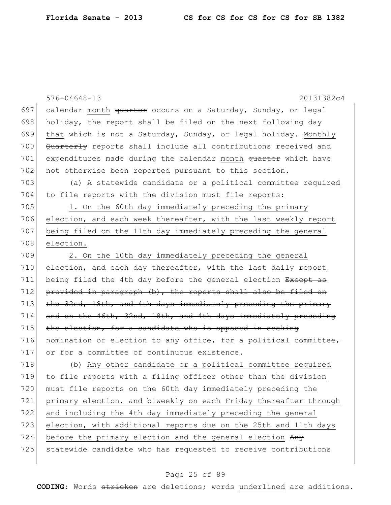|     | $576 - 04648 - 13$<br>20131382c4                                 |
|-----|------------------------------------------------------------------|
| 697 | calendar month quarter occurs on a Saturday, Sunday, or legal    |
| 698 | holiday, the report shall be filed on the next following day     |
| 699 | that which is not a Saturday, Sunday, or legal holiday. Monthly  |
| 700 | Quarterly reports shall include all contributions received and   |
| 701 | expenditures made during the calendar month quarter which have   |
| 702 | not otherwise been reported pursuant to this section.            |
| 703 | (a) A statewide candidate or a political committee required      |
| 704 | to file reports with the division must file reports:             |
| 705 | 1. On the 60th day immediately preceding the primary             |
| 706 | election, and each week thereafter, with the last weekly report  |
| 707 | being filed on the 11th day immediately preceding the general    |
| 708 | election.                                                        |
| 709 | 2. On the 10th day immediately preceding the general             |
| 710 | election, and each day thereafter, with the last daily report    |
| 711 | being filed the 4th day before the general election Except as    |
| 712 | provided in paragraph (b), the reports shall also be filed on    |
| 713 | the 32nd, 18th, and 4th days immediately preceding the primary   |
| 714 | and on the 46th, 32nd, 18th, and 4th days immediately preceding  |
| 715 | the election, for a candidate who is opposed in seeking          |
| 716 | nomination or election to any office, for a political committee, |
| 717 | or for a committee of continuous existence.                      |
| 718 | (b) Any other candidate or a political committee required        |
| 719 | to file reports with a filing officer other than the division    |
| 720 | must file reports on the 60th day immediately preceding the      |
| 721 | primary election, and biweekly on each Friday thereafter through |
| 722 | and including the 4th day immediately preceding the general      |
| 723 | election, with additional reports due on the 25th and 11th days  |
| 724 | before the primary election and the general election Any         |
| 725 | statewide candidate who has requested to receive contributions   |
|     |                                                                  |

# Page 25 of 89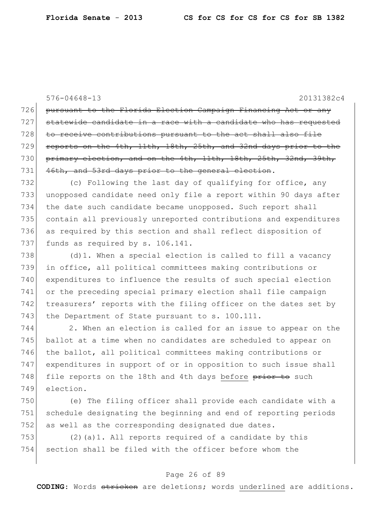576-04648-13 20131382c4 726 pursuant to the Florida Election Campaign Financing Act or any  $727$  statewide candidate in a race with a candidate who has requested 728 to receive contributions pursuant to the act shall also file 729 reports on the 4th, 11th, 18th, 25th, and 32nd days prior to the 730 primary election, and on the 4th, 11th, 18th, 25th, 32nd, 39th, 731 46th, and 53rd days prior to the general election. 732 (c) Following the last day of qualifying for office, any 733 unopposed candidate need only file a report within 90 days after 734 the date such candidate became unopposed. Such report shall 735 contain all previously unreported contributions and expenditures

736 as required by this section and shall reflect disposition of 737 funds as required by s. 106.141.

 $(d)$  1. When a special election is called to fill a vacancy in office, all political committees making contributions or expenditures to influence the results of such special election or the preceding special primary election shall file campaign 742 treasurers' reports with the filing officer on the dates set by 743 the Department of State pursuant to s. 100.111.

 2. When an election is called for an issue to appear on the ballot at a time when no candidates are scheduled to appear on 746 the ballot, all political committees making contributions or expenditures in support of or in opposition to such issue shall 748 file reports on the 18th and 4th days before prior to such election.

750 (e) The filing officer shall provide each candidate with a 751 schedule designating the beginning and end of reporting periods 752 as well as the corresponding designated due dates.

753 (2)(a)1. All reports required of a candidate by this 754 section shall be filed with the officer before whom the

## Page 26 of 89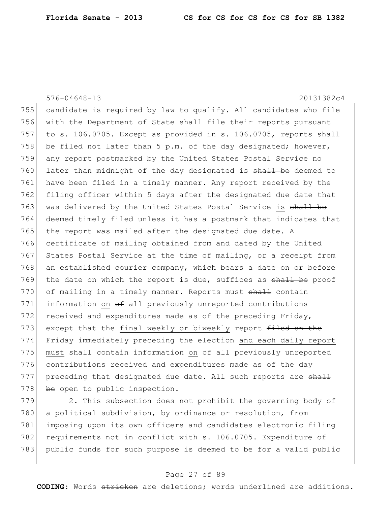576-04648-13 20131382c4 755 candidate is required by law to qualify. All candidates who file 756 with the Department of State shall file their reports pursuant 757 to s. 106.0705. Except as provided in s. 106.0705, reports shall 758 be filed not later than 5 p.m. of the day designated; however, 759 any report postmarked by the United States Postal Service no 760 later than midnight of the day designated is shall be deemed to 761 have been filed in a timely manner. Any report received by the 762 filing officer within 5 days after the designated due date that 763 was delivered by the United States Postal Service is shall be 764 deemed timely filed unless it has a postmark that indicates that  $765$  the report was mailed after the designated due date. A 766 certificate of mailing obtained from and dated by the United 767 States Postal Service at the time of mailing, or a receipt from 768 an established courier company, which bears a date on or before 769 the date on which the report is due, suffices as shall be proof 770 of mailing in a timely manner. Reports must shall contain 771 information on  $\theta$  all previously unreported contributions  $772$  received and expenditures made as of the preceding Friday, 773 except that the final weekly or biweekly report filed on the 774 Friday immediately preceding the election and each daily report 775 must  $shall$  contain information on  $ef$  all previously unreported 776 contributions received and expenditures made as of the day  $777$  preceding that designated due date. All such reports are  $shall$  $778$  be open to public inspection.

779 2. This subsection does not prohibit the governing body of 780 a political subdivision, by ordinance or resolution, from 781 imposing upon its own officers and candidates electronic filing 782 requirements not in conflict with s. 106.0705. Expenditure of 783 public funds for such purpose is deemed to be for a valid public

## Page 27 of 89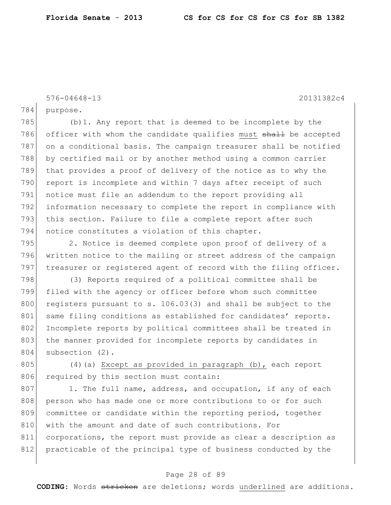576-04648-13 20131382c4

784 purpose.

785 (b)1. Any report that is deemed to be incomplete by the 786 officer with whom the candidate qualifies must shall be accepted 787 on a conditional basis. The campaign treasurer shall be notified 788 by certified mail or by another method using a common carrier 789 that provides a proof of delivery of the notice as to why the 790 report is incomplete and within 7 days after receipt of such 791 notice must file an addendum to the report providing all 792 information necessary to complete the report in compliance with 793 this section. Failure to file a complete report after such 794 notice constitutes a violation of this chapter.

795 2. Notice is deemed complete upon proof of delivery of a 796 written notice to the mailing or street address of the campaign 797 treasurer or registered agent of record with the filing officer.

798 (3) Reports required of a political committee shall be 799 filed with the agency or officer before whom such committee 800 registers pursuant to s.  $106.03(3)$  and shall be subject to the 801 same filing conditions as established for candidates' reports. 802 Incomplete reports by political committees shall be treated in 803 the manner provided for incomplete reports by candidates in 804 subsection (2).

805 (4)(a) Except as provided in paragraph (b), each report 806 required by this section must contain:

 $807$  1. The full name, address, and occupation, if any of each 808 person who has made one or more contributions to or for such 809 committee or candidate within the reporting period, together 810 with the amount and date of such contributions. For 811 corporations, the report must provide as clear a description as 812 practicable of the principal type of business conducted by the

## Page 28 of 89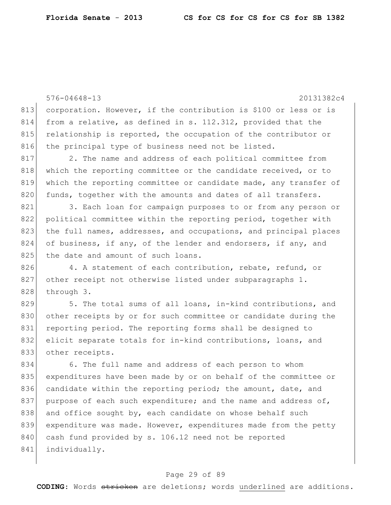576-04648-13 20131382c4 813 corporation. However, if the contribution is \$100 or less or is 814 from a relative, as defined in s. 112.312, provided that the 815 relationship is reported, the occupation of the contributor or 816 the principal type of business need not be listed. 817 2. The name and address of each political committee from 818 which the reporting committee or the candidate received, or to 819 which the reporting committee or candidate made, any transfer of 820 funds, together with the amounts and dates of all transfers. 821 3. Each loan for campaign purposes to or from any person or 822 political committee within the reporting period, together with 823 the full names, addresses, and occupations, and principal places 824 of business, if any, of the lender and endorsers, if any, and 825 the date and amount of such loans. 826 4. A statement of each contribution, rebate, refund, or 827 other receipt not otherwise listed under subparagraphs 1. 828 through 3. 829 5. The total sums of all loans, in-kind contributions, and 830 other receipts by or for such committee or candidate during the 831 reporting period. The reporting forms shall be designed to 832 elicit separate totals for in-kind contributions, loans, and 833 other receipts. 834 6. The full name and address of each person to whom 835 expenditures have been made by or on behalf of the committee or 836 candidate within the reporting period; the amount, date, and 837 purpose of each such expenditure; and the name and address of, 838 and office sought by, each candidate on whose behalf such 839 expenditure was made. However, expenditures made from the petty 840 cash fund provided by s. 106.12 need not be reported 841 individually.

## Page 29 of 89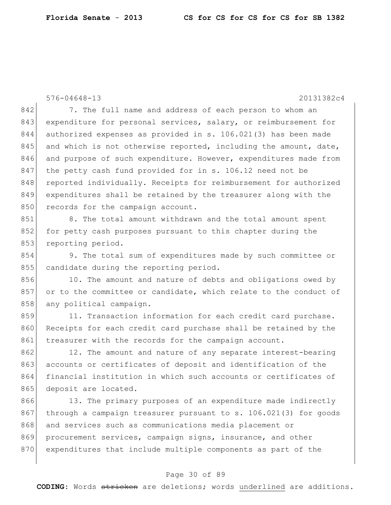576-04648-13 20131382c4

842 7. The full name and address of each person to whom an 843 expenditure for personal services, salary, or reimbursement for 844 authorized expenses as provided in s. 106.021(3) has been made  $845$  and which is not otherwise reported, including the amount, date, 846 and purpose of such expenditure. However, expenditures made from 847 the petty cash fund provided for in s. 106.12 need not be 848 reported individually. Receipts for reimbursement for authorized 849 expenditures shall be retained by the treasurer along with the 850 records for the campaign account.

851 8. The total amount withdrawn and the total amount spent 852 for petty cash purposes pursuant to this chapter during the 853 reporting period.

854 9. The total sum of expenditures made by such committee or 855 candidate during the reporting period.

856 10. The amount and nature of debts and obligations owed by 857 or to the committee or candidate, which relate to the conduct of 858 any political campaign.

859 11. Transaction information for each credit card purchase. 860 Receipts for each credit card purchase shall be retained by the 861 treasurer with the records for the campaign account.

862 12. The amount and nature of any separate interest-bearing 863 accounts or certificates of deposit and identification of the 864 financial institution in which such accounts or certificates of 865 deposit are located.

866 13. The primary purposes of an expenditure made indirectly 867 through a campaign treasurer pursuant to s. 106.021(3) for goods 868 and services such as communications media placement or 869 procurement services, campaign signs, insurance, and other 870 expenditures that include multiple components as part of the

## Page 30 of 89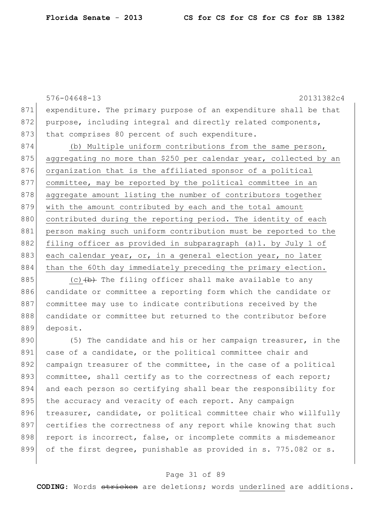576-04648-13 20131382c4 871 expenditure. The primary purpose of an expenditure shall be that 872 purpose, including integral and directly related components, 873 that comprises 80 percent of such expenditure. 874 (b) Multiple uniform contributions from the same person, 875 aggregating no more than \$250 per calendar year, collected by an 876 organization that is the affiliated sponsor of a political 877 committee, may be reported by the political committee in an 878 aggregate amount listing the number of contributors together 879 with the amount contributed by each and the total amount 880 contributed during the reporting period. The identity of each 881 person making such uniform contribution must be reported to the 882 filing officer as provided in subparagraph (a)1. by July 1 of 883 each calendar year, or, in a general election year, no later 884 than the 60th day immediately preceding the primary election. 885 (c)  $\left(\frac{b}{b}\right)$  The filing officer shall make available to any 886 candidate or committee a reporting form which the candidate or 887 committee may use to indicate contributions received by the 888 candidate or committee but returned to the contributor before 889 deposit.

890 (5) The candidate and his or her campaign treasurer, in the 891 case of a candidate, or the political committee chair and 892 campaign treasurer of the committee, in the case of a political 893 committee, shall certify as to the correctness of each report; 894 and each person so certifying shall bear the responsibility for 895 the accuracy and veracity of each report. Any campaign 896 treasurer, candidate, or political committee chair who willfully 897 certifies the correctness of any report while knowing that such 898 report is incorrect, false, or incomplete commits a misdemeanor 899 of the first degree, punishable as provided in s. 775.082 or s.

## Page 31 of 89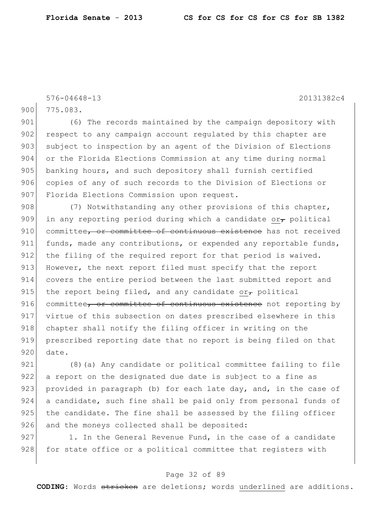576-04648-13 20131382c4

900 775.083.

901 (6) The records maintained by the campaign depository with 902 respect to any campaign account regulated by this chapter are 903 subject to inspection by an agent of the Division of Elections 904 or the Florida Elections Commission at any time during normal 905 banking hours, and such depository shall furnish certified 906 copies of any of such records to the Division of Elections or 907 Florida Elections Commission upon request.

908 (7) Notwithstanding any other provisions of this chapter, 909 in any reporting period during which a candidate or $_{\tau}$  political 910 committee, or committee of continuous existence has not received 911 funds, made any contributions, or expended any reportable funds, 912 the filing of the required report for that period is waived. 913 However, the next report filed must specify that the report 914 covers the entire period between the last submitted report and 915 the report being filed, and any candidate or political 916 committee, or committee of continuous existence not reporting by 917 virtue of this subsection on dates prescribed elsewhere in this 918 chapter shall notify the filing officer in writing on the 919 prescribed reporting date that no report is being filed on that 920 date.

921 (8) (a) Any candidate or political committee failing to file 922 a report on the designated due date is subject to a fine as 923 provided in paragraph (b) for each late day, and, in the case of 924 a candidate, such fine shall be paid only from personal funds of  $925$  the candidate. The fine shall be assessed by the filing officer 926 and the moneys collected shall be deposited:

 $927$  1. In the General Revenue Fund, in the case of a candidate 928 for state office or a political committee that registers with

## Page 32 of 89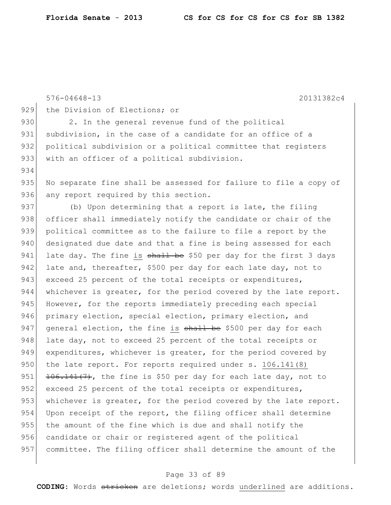|     | $576 - 04648 - 13$<br>20131382c4                                 |
|-----|------------------------------------------------------------------|
| 929 | the Division of Elections; or                                    |
| 930 | 2. In the general revenue fund of the political                  |
| 931 | subdivision, in the case of a candidate for an office of a       |
| 932 | political subdivision or a political committee that registers    |
| 933 | with an officer of a political subdivision.                      |
| 934 |                                                                  |
| 935 | No separate fine shall be assessed for failure to file a copy of |
| 936 | any report required by this section.                             |
| 937 | (b) Upon determining that a report is late, the filing           |
| 938 | officer shall immediately notify the candidate or chair of the   |
| 939 | political committee as to the failure to file a report by the    |
| 940 | designated due date and that a fine is being assessed for each   |
| 941 | late day. The fine is shall be \$50 per day for the first 3 days |
| 942 | late and, thereafter, \$500 per day for each late day, not to    |
| 943 | exceed 25 percent of the total receipts or expenditures,         |
| 944 | whichever is greater, for the period covered by the late report. |
| 945 | However, for the reports immediately preceding each special      |
| 946 | primary election, special election, primary election, and        |
| 947 | general election, the fine is shall be \$500 per day for each    |
| 948 | late day, not to exceed 25 percent of the total receipts or      |
| 949 | expenditures, whichever is greater, for the period covered by    |
| 950 | the late report. For reports required under s. 106.141(8)        |
| 951 | 106.141(7), the fine is \$50 per day for each late day, not to   |
| 952 | exceed 25 percent of the total receipts or expenditures,         |
| 953 | whichever is greater, for the period covered by the late report. |
| 954 | Upon receipt of the report, the filing officer shall determine   |
| 955 | the amount of the fine which is due and shall notify the         |
| 956 | candidate or chair or registered agent of the political          |
| 957 | committee. The filing officer shall determine the amount of the  |
|     |                                                                  |

# Page 33 of 89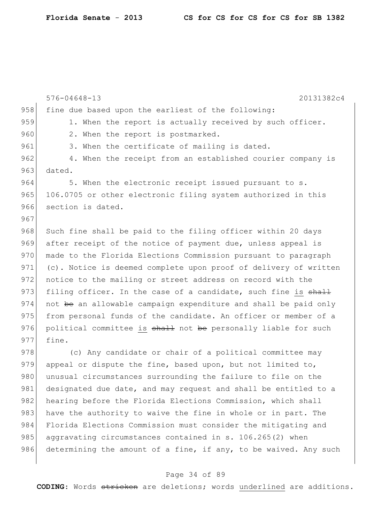|     | $576 - 04648 - 13$<br>20131382c4                                 |
|-----|------------------------------------------------------------------|
| 958 | fine due based upon the earliest of the following:               |
| 959 | 1. When the report is actually received by such officer.         |
| 960 | 2. When the report is postmarked.                                |
| 961 | 3. When the certificate of mailing is dated.                     |
| 962 | 4. When the receipt from an established courier company is       |
| 963 | dated.                                                           |
| 964 | 5. When the electronic receipt issued pursuant to s.             |
| 965 | 106.0705 or other electronic filing system authorized in this    |
| 966 | section is dated.                                                |
| 967 |                                                                  |
| 968 | Such fine shall be paid to the filing officer within 20 days     |
| 969 | after receipt of the notice of payment due, unless appeal is     |
| 970 | made to the Florida Elections Commission pursuant to paragraph   |
| 971 | (c). Notice is deemed complete upon proof of delivery of written |
| 972 | notice to the mailing or street address on record with the       |
| 973 | filing officer. In the case of a candidate, such fine is shall   |
| 974 | not be an allowable campaign expenditure and shall be paid only  |
| 975 | from personal funds of the candidate. An officer or member of a  |
| 976 | political committee is shall not be personally liable for such   |
| 977 | fine.                                                            |
| 978 | (c) Any candidate or chair of a political committee may          |
| 979 | appeal or dispute the fine, based upon, but not limited to,      |
| 980 | unusual circumstances surrounding the failure to file on the     |
| 981 | designated due date, and may request and shall be entitled to a  |
| 982 | hearing before the Florida Elections Commission, which shall     |
| 983 | have the authority to waive the fine in whole or in part. The    |

986 determining the amount of a fine, if any, to be waived. Any such

984 Florida Elections Commission must consider the mitigating and

985 aggravating circumstances contained in s. 106.265(2) when

## Page 34 of 89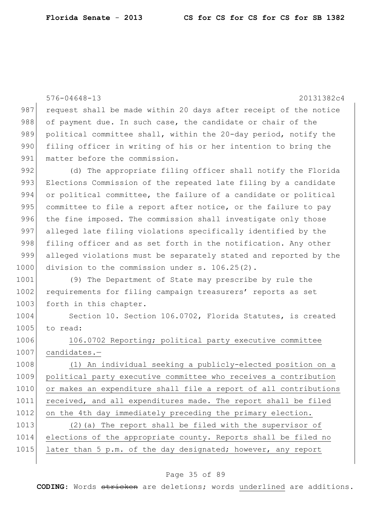576-04648-13 20131382c4 987 request shall be made within 20 days after receipt of the notice 988 of payment due. In such case, the candidate or chair of the 989 political committee shall, within the 20-day period, notify the 990 filing officer in writing of his or her intention to bring the 991 matter before the commission. 992 (d) The appropriate filing officer shall notify the Florida 993 Elections Commission of the repeated late filing by a candidate 994 or political committee, the failure of a candidate or political 995 committee to file a report after notice, or the failure to pay 996 the fine imposed. The commission shall investigate only those 997 alleged late filing violations specifically identified by the 998 filing officer and as set forth in the notification. Any other 999 alleged violations must be separately stated and reported by the 1000 division to the commission under s. 106.25(2). 1001 (9) The Department of State may prescribe by rule the 1002 requirements for filing campaign treasurers' reports as set 1003 forth in this chapter. 1004 Section 10. Section 106.0702, Florida Statutes, is created 1005 to read: 1006 106.0702 Reporting; political party executive committee 1007 candidates.-1008 (1) An individual seeking a publicly-elected position on a 1009 political party executive committee who receives a contribution 1010 or makes an expenditure shall file a report of all contributions 1011 received, and all expenditures made. The report shall be filed 1012 on the 4th day immediately preceding the primary election. 1013 (2)(a) The report shall be filed with the supervisor of 1014 elections of the appropriate county. Reports shall be filed no 1015 later than 5 p.m. of the day designated; however, any report

## Page 35 of 89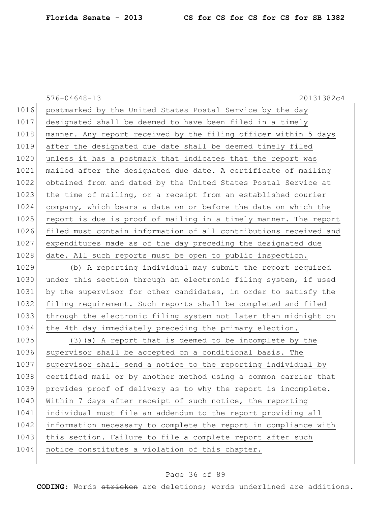576-04648-13 20131382c4 1016 postmarked by the United States Postal Service by the day 1017 designated shall be deemed to have been filed in a timely 1018 manner. Any report received by the filing officer within 5 days 1019 after the designated due date shall be deemed timely filed 1020 unless it has a postmark that indicates that the report was 1021 mailed after the designated due date. A certificate of mailing 1022 obtained from and dated by the United States Postal Service at 1023 the time of mailing, or a receipt from an established courier 1024 company, which bears a date on or before the date on which the 1025 report is due is proof of mailing in a timely manner. The report 1026 filed must contain information of all contributions received and 1027 expenditures made as of the day preceding the designated due 1028 date. All such reports must be open to public inspection. 1029 (b) A reporting individual may submit the report required 1030 under this section through an electronic filing system, if used 1031 by the supervisor for other candidates, in order to satisfy the 1032 filing requirement. Such reports shall be completed and filed 1033 through the electronic filing system not later than midnight on 1034 the 4th day immediately preceding the primary election. 1035 (3) (a) A report that is deemed to be incomplete by the 1036 supervisor shall be accepted on a conditional basis. The 1037 supervisor shall send a notice to the reporting individual by 1038 certified mail or by another method using a common carrier that 1039 provides proof of delivery as to why the report is incomplete. 1040 Within 7 days after receipt of such notice, the reporting 1041 individual must file an addendum to the report providing all 1042 information necessary to complete the report in compliance with 1043 this section. Failure to file a complete report after such 1044 notice constitutes a violation of this chapter.

#### Page 36 of 89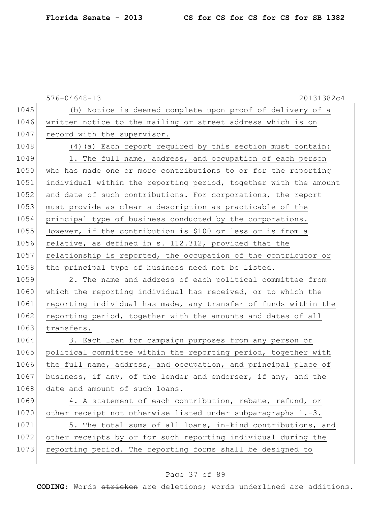|      | $576 - 04648 - 13$<br>20131382c4                                 |
|------|------------------------------------------------------------------|
| 1045 | (b) Notice is deemed complete upon proof of delivery of a        |
| 1046 | written notice to the mailing or street address which is on      |
| 1047 | record with the supervisor.                                      |
| 1048 | (4) (a) Each report required by this section must contain:       |
| 1049 | 1. The full name, address, and occupation of each person         |
| 1050 | who has made one or more contributions to or for the reporting   |
| 1051 | individual within the reporting period, together with the amount |
| 1052 | and date of such contributions. For corporations, the report     |
| 1053 | must provide as clear a description as practicable of the        |
| 1054 | principal type of business conducted by the corporations.        |
| 1055 | However, if the contribution is \$100 or less or is from a       |
| 1056 | relative, as defined in s. 112.312, provided that the            |
| 1057 | relationship is reported, the occupation of the contributor or   |
| 1058 | the principal type of business need not be listed.               |
| 1059 | 2. The name and address of each political committee from         |
| 1060 | which the reporting individual has received, or to which the     |
| 1061 | reporting individual has made, any transfer of funds within the  |
| 1062 | reporting period, together with the amounts and dates of all     |
| 1063 | transfers.                                                       |
| 1064 | 3. Each loan for campaign purposes from any person or            |
| 1065 | political committee within the reporting period, together with   |
| 1066 | the full name, address, and occupation, and principal place of   |
| 1067 | business, if any, of the lender and endorser, if any, and the    |
| 1068 | date and amount of such loans.                                   |
| 1069 | 4. A statement of each contribution, rebate, refund, or          |
| 1070 | other receipt not otherwise listed under subparagraphs 1.-3.     |
| 1071 | 5. The total sums of all loans, in-kind contributions, and       |
| 1072 | other receipts by or for such reporting individual during the    |
| 1073 | reporting period. The reporting forms shall be designed to       |

# Page 37 of 89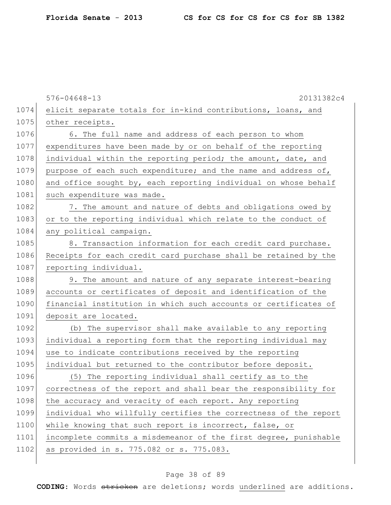|      | $576 - 04648 - 13$<br>20131382c4                                 |
|------|------------------------------------------------------------------|
| 1074 | elicit separate totals for in-kind contributions, loans, and     |
| 1075 | other receipts.                                                  |
| 1076 | 6. The full name and address of each person to whom              |
| 1077 | expenditures have been made by or on behalf of the reporting     |
| 1078 | individual within the reporting period; the amount, date, and    |
| 1079 | purpose of each such expenditure; and the name and address of,   |
| 1080 | and office sought by, each reporting individual on whose behalf  |
| 1081 | such expenditure was made.                                       |
| 1082 | 7. The amount and nature of debts and obligations owed by        |
| 1083 | or to the reporting individual which relate to the conduct of    |
| 1084 | any political campaign.                                          |
| 1085 | 8. Transaction information for each credit card purchase.        |
| 1086 | Receipts for each credit card purchase shall be retained by the  |
| 1087 | reporting individual.                                            |
| 1088 | 9. The amount and nature of any separate interest-bearing        |
| 1089 | accounts or certificates of deposit and identification of the    |
| 1090 | financial institution in which such accounts or certificates of  |
| 1091 | deposit are located.                                             |
| 1092 | (b) The supervisor shall make available to any reporting         |
| 1093 | individual a reporting form that the reporting individual may    |
| 1094 | use to indicate contributions received by the reporting          |
| 1095 | individual but returned to the contributor before deposit.       |
| 1096 | (5) The reporting individual shall certify as to the             |
| 1097 | correctness of the report and shall bear the responsibility for  |
| 1098 | the accuracy and veracity of each report. Any reporting          |
| 1099 | individual who willfully certifies the correctness of the report |
| 1100 | while knowing that such report is incorrect, false, or           |
| 1101 | incomplete commits a misdemeanor of the first degree, punishable |
| 1102 | as provided in s. 775.082 or s. 775.083.                         |
|      |                                                                  |

# Page 38 of 89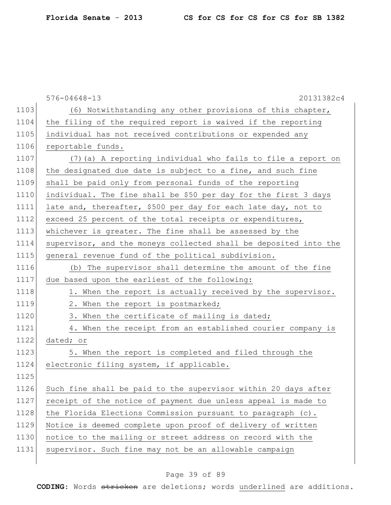|      | $576 - 04648 - 13$<br>20131382c4                                 |
|------|------------------------------------------------------------------|
| 1103 | (6) Notwithstanding any other provisions of this chapter,        |
| 1104 | the filing of the required report is waived if the reporting     |
| 1105 | individual has not received contributions or expended any        |
| 1106 | reportable funds.                                                |
| 1107 | (7) (a) A reporting individual who fails to file a report on     |
| 1108 | the designated due date is subject to a fine, and such fine      |
| 1109 | shall be paid only from personal funds of the reporting          |
| 1110 | individual. The fine shall be \$50 per day for the first 3 days  |
| 1111 | late and, thereafter, \$500 per day for each late day, not to    |
| 1112 | exceed 25 percent of the total receipts or expenditures,         |
| 1113 | whichever is greater. The fine shall be assessed by the          |
| 1114 | supervisor, and the moneys collected shall be deposited into the |
| 1115 | general revenue fund of the political subdivision.               |
| 1116 | (b) The supervisor shall determine the amount of the fine        |
| 1117 | due based upon the earliest of the following:                    |
| 1118 | 1. When the report is actually received by the supervisor.       |
| 1119 | 2. When the report is postmarked;                                |
| 1120 | 3. When the certificate of mailing is dated;                     |
| 1121 | 4. When the receipt from an established courier company is       |
| 1122 | dated; or                                                        |
| 1123 | 5. When the report is completed and filed through the            |
| 1124 | electronic filing system, if applicable.                         |
| 1125 |                                                                  |
| 1126 | Such fine shall be paid to the supervisor within 20 days after   |
| 1127 | receipt of the notice of payment due unless appeal is made to    |
| 1128 | the Florida Elections Commission pursuant to paragraph (c).      |
| 1129 | Notice is deemed complete upon proof of delivery of written      |
| 1130 | notice to the mailing or street address on record with the       |
| 1131 | supervisor. Such fine may not be an allowable campaign           |

# Page 39 of 89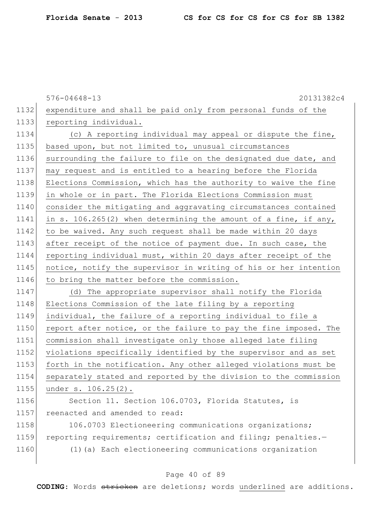|      | $576 - 04648 - 13$<br>20131382c4                                  |
|------|-------------------------------------------------------------------|
| 1132 | expenditure and shall be paid only from personal funds of the     |
| 1133 | reporting individual.                                             |
| 1134 | (c) A reporting individual may appeal or dispute the fine,        |
| 1135 | based upon, but not limited to, unusual circumstances             |
| 1136 | surrounding the failure to file on the designated due date, and   |
| 1137 | may request and is entitled to a hearing before the Florida       |
| 1138 | Elections Commission, which has the authority to waive the fine   |
| 1139 | in whole or in part. The Florida Elections Commission must        |
| 1140 | consider the mitigating and aggravating circumstances contained   |
| 1141 | in s. $106.265(2)$ when determining the amount of a fine, if any, |
| 1142 | to be waived. Any such request shall be made within 20 days       |
| 1143 | after receipt of the notice of payment due. In such case, the     |
| 1144 | reporting individual must, within 20 days after receipt of the    |
| 1145 | notice, notify the supervisor in writing of his or her intention  |
| 1146 | to bring the matter before the commission.                        |
| 1147 | (d) The appropriate supervisor shall notify the Florida           |
| 1148 | Elections Commission of the late filing by a reporting            |
| 1149 | individual, the failure of a reporting individual to file a       |
| 1150 | report after notice, or the failure to pay the fine imposed. The  |
| 1151 | commission shall investigate only those alleged late filing       |
| 1152 | violations specifically identified by the supervisor and as set   |
| 1153 | forth in the notification. Any other alleged violations must be   |
| 1154 | separately stated and reported by the division to the commission  |
| 1155 | under s. 106.25(2).                                               |
| 1156 | Section 11. Section 106.0703, Florida Statutes, is                |
| 1157 | reenacted and amended to read:                                    |
| 1158 | 106.0703 Electioneering communications organizations;             |
| 1159 | reporting requirements; certification and filing; penalties.-     |
| 1160 | (1) (a) Each electioneering communications organization           |
|      |                                                                   |

# Page 40 of 89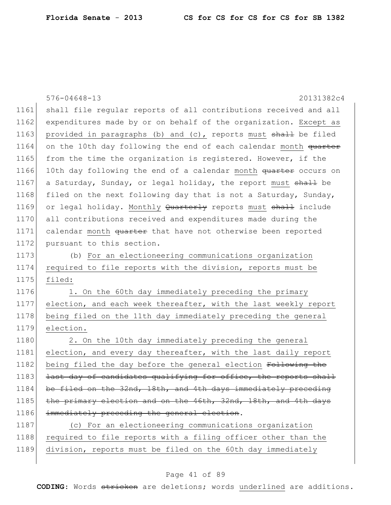|      | $576 - 04648 - 13$<br>20131382c4                                 |
|------|------------------------------------------------------------------|
| 1161 | shall file regular reports of all contributions received and all |
| 1162 | expenditures made by or on behalf of the organization. Except as |
| 1163 | provided in paragraphs (b) and (c), reports must shall be filed  |
| 1164 | on the 10th day following the end of each calendar month quarter |
| 1165 | from the time the organization is registered. However, if the    |
| 1166 | 10th day following the end of a calendar month quarter occurs on |
| 1167 | a Saturday, Sunday, or legal holiday, the report must shall be   |
| 1168 | filed on the next following day that is not a Saturday, Sunday,  |
| 1169 | or legal holiday. Monthly Quarterly reports must shall include   |
| 1170 | all contributions received and expenditures made during the      |
| 1171 | calendar month quarter that have not otherwise been reported     |
| 1172 | pursuant to this section.                                        |
| 1173 | (b) For an electioneering communications organization            |
| 1174 | required to file reports with the division, reports must be      |
| 1175 | filed:                                                           |
| 1176 | 1. On the 60th day immediately preceding the primary             |
| 1177 | election, and each week thereafter, with the last weekly report  |
| 1178 | being filed on the 11th day immediately preceding the general    |
| 1179 | election.                                                        |
| 1180 | 2. On the 10th day immediately preceding the general             |
| 1181 | election, and every day thereafter, with the last daily report   |
| 1182 | being filed the day before the general election Following the    |
| 1183 | last day of candidates qualifying for office, the reports shall  |
| 1184 | be filed on the 32nd, 18th, and 4th days immediately preceding   |
| 1185 | the primary election and on the 46th, 32nd, 18th, and 4th days   |
| 1186 | immediately preceding the general election.                      |
| 1187 | (c) For an electioneering communications organization            |
| 1188 | required to file reports with a filing officer other than the    |
| 1189 | division, reports must be filed on the 60th day immediately      |
|      |                                                                  |

# Page 41 of 89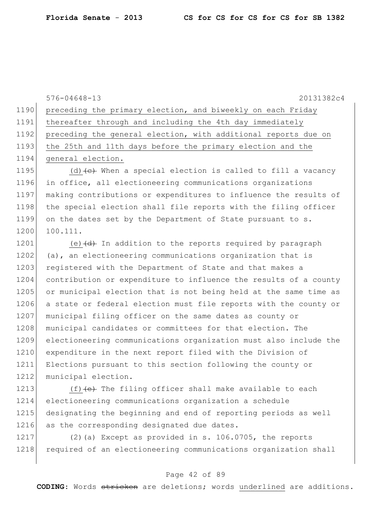|      | 20131382c4<br>$576 - 04648 - 13$                                                |
|------|---------------------------------------------------------------------------------|
| 1190 | preceding the primary election, and biweekly on each Friday                     |
| 1191 | thereafter through and including the 4th day immediately                        |
| 1192 | preceding the general election, with additional reports due on                  |
| 1193 | the 25th and 11th days before the primary election and the                      |
| 1194 | general election.                                                               |
| 1195 | (d) $(e)$ When a special election is called to fill a vacancy                   |
| 1196 | in office, all electioneering communications organizations                      |
| 1197 | making contributions or expenditures to influence the results of                |
| 1198 | the special election shall file reports with the filing officer                 |
| 1199 | on the dates set by the Department of State pursuant to s.                      |
| 1200 | 100.111.                                                                        |
| 1201 | (e) $\left(\frac{d}{d}\right)$ In addition to the reports required by paragraph |
| 1202 | (a), an electioneering communications organization that is                      |
| 1203 | registered with the Department of State and that makes a                        |
| 1204 | contribution or expenditure to influence the results of a county                |
| 1205 | or municipal election that is not being held at the same time as                |
| 1206 | a state or federal election must file reports with the county or                |
| 1207 | municipal filing officer on the same dates as county or                         |
| 1208 | municipal candidates or committees for that election. The                       |
| 1209 | electioneering communications organization must also include the                |
| 1210 | expenditure in the next report filed with the Division of                       |
| 1211 | Elections pursuant to this section following the county or                      |
| 1212 | municipal election.                                                             |

 $(f)$  (f)  $(e)$  The filing officer shall make available to each electioneering communications organization a schedule designating the beginning and end of reporting periods as well 1216 as the corresponding designated due dates.

1217 (2) (a) Except as provided in s. 106.0705, the reports 1218 required of an electioneering communications organization shall

## Page 42 of 89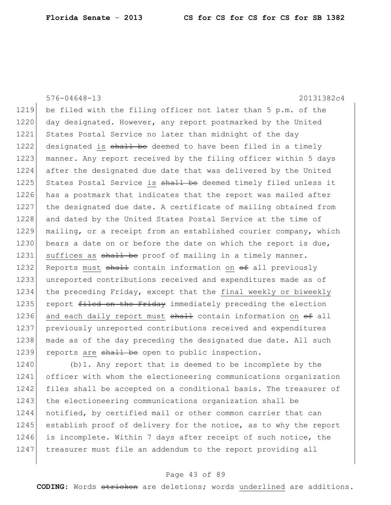576-04648-13 20131382c4 1219 be filed with the filing officer not later than 5 p.m. of the 1220 day designated. However, any report postmarked by the United 1221 States Postal Service no later than midnight of the day 1222 designated is shall be deemed to have been filed in a timely 1223 manner. Any report received by the filing officer within 5 days 1224 after the designated due date that was delivered by the United 1225 States Postal Service is shall be deemed timely filed unless it 1226 has a postmark that indicates that the report was mailed after 1227 the designated due date. A certificate of mailing obtained from 1228 and dated by the United States Postal Service at the time of 1229 mailing, or a receipt from an established courier company, which 1230 bears a date on or before the date on which the report is due, 1231 suffices as shall be proof of mailing in a timely manner. 1232 Reports must  $\frac{1}{2}$  contain information on  $\theta$  all previously 1233 unreported contributions received and expenditures made as of 1234 the preceding Friday, except that the final weekly or biweekly 1235 report filed on the Friday immediately preceding the election 1236 and each daily report must  $\frac{1}{2}$  contain information on  $\frac{1}{2}$  all 1237 previously unreported contributions received and expenditures 1238 made as of the day preceding the designated due date. All such 1239 reports are  $shall$  be open to public inspection.

1240 (b)1. Any report that is deemed to be incomplete by the 1241 officer with whom the electioneering communications organization 1242 files shall be accepted on a conditional basis. The treasurer of 1243 the electioneering communications organization shall be 1244 notified, by certified mail or other common carrier that can 1245 establish proof of delivery for the notice, as to why the report 1246 is incomplete. Within 7 days after receipt of such notice, the 1247 treasurer must file an addendum to the report providing all

### Page 43 of 89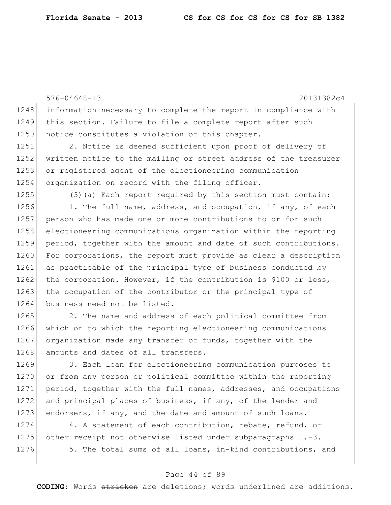576-04648-13 20131382c4 1248 information necessary to complete the report in compliance with 1249 this section. Failure to file a complete report after such 1250 notice constitutes a violation of this chapter. 1251 2. Notice is deemed sufficient upon proof of delivery of 1252 written notice to the mailing or street address of the treasurer 1253 or registered agent of the electioneering communication 1254 organization on record with the filing officer. 1255 (3)(a) Each report required by this section must contain:  $1256$  1. The full name, address, and occupation, if any, of each 1257 person who has made one or more contributions to or for such 1258 electioneering communications organization within the reporting 1259 period, together with the amount and date of such contributions. 1260 For corporations, the report must provide as clear a description 1261 as practicable of the principal type of business conducted by 1262 the corporation. However, if the contribution is \$100 or less, 1263 the occupation of the contributor or the principal type of 1264 business need not be listed. 1265 2. The name and address of each political committee from 1266 which or to which the reporting electioneering communications 1267 organization made any transfer of funds, together with the 1268 amounts and dates of all transfers. 1269 3. Each loan for electioneering communication purposes to 1270 or from any person or political committee within the reporting 1271 period, together with the full names, addresses, and occupations 1272 and principal places of business, if any, of the lender and

1274 4. A statement of each contribution, rebate, refund, or 1275 other receipt not otherwise listed under subparagraphs 1.-3. 1276 5. The total sums of all loans, in-kind contributions, and

1273 endorsers, if any, and the date and amount of such loans.

#### Page 44 of 89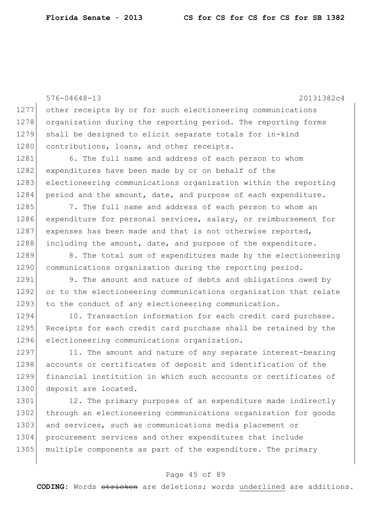576-04648-13 20131382c4 1277 other receipts by or for such electioneering communications 1278 organization during the reporting period. The reporting forms 1279 shall be designed to elicit separate totals for in-kind 1280 contributions, loans, and other receipts. 1281 6. The full name and address of each person to whom 1282 expenditures have been made by or on behalf of the 1283 electioneering communications organization within the reporting 1284 period and the amount, date, and purpose of each expenditure. 1285 7. The full name and address of each person to whom an 1286 expenditure for personal services, salary, or reimbursement for  $1287$  expenses has been made and that is not otherwise reported, 1288 including the amount, date, and purpose of the expenditure. 1289 8. The total sum of expenditures made by the electioneering 1290 communications organization during the reporting period. 1291 9. The amount and nature of debts and obligations owed by 1292 or to the electioneering communications organization that relate 1293 to the conduct of any electioneering communication. 1294 10. Transaction information for each credit card purchase. 1295 Receipts for each credit card purchase shall be retained by the 1296 electioneering communications organization. 1297 11. The amount and nature of any separate interest-bearing 1298 accounts or certificates of deposit and identification of the 1299 financial institution in which such accounts or certificates of 1300 deposit are located. 1301 12. The primary purposes of an expenditure made indirectly 1302 through an electioneering communications organization for goods 1303 and services, such as communications media placement or 1304 procurement services and other expenditures that include 1305 multiple components as part of the expenditure. The primary

#### Page 45 of 89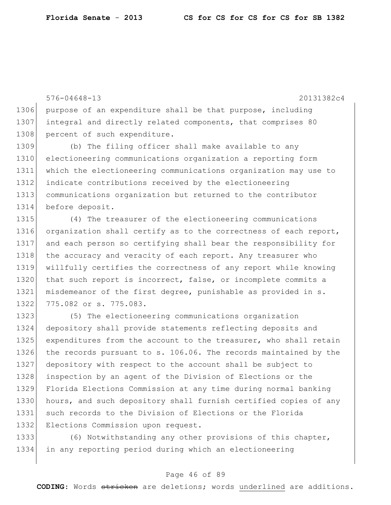576-04648-13 20131382c4 1306 purpose of an expenditure shall be that purpose, including 1307 integral and directly related components, that comprises 80 1308 percent of such expenditure. 1309 (b) The filing officer shall make available to any 1310 electioneering communications organization a reporting form 1311 which the electioneering communications organization may use to 1312 indicate contributions received by the electioneering 1313 communications organization but returned to the contributor 1314 before deposit. 1315 (4) The treasurer of the electioneering communications 1316 organization shall certify as to the correctness of each report, 1317 and each person so certifying shall bear the responsibility for 1318 the accuracy and veracity of each report. Any treasurer who

1319 willfully certifies the correctness of any report while knowing 1320 that such report is incorrect, false, or incomplete commits a 1321 misdemeanor of the first degree, punishable as provided in s. 1322 775.082 or s. 775.083.

1323 (5) The electioneering communications organization 1324 depository shall provide statements reflecting deposits and 1325 expenditures from the account to the treasurer, who shall retain 1326 the records pursuant to s. 106.06. The records maintained by the 1327 depository with respect to the account shall be subject to 1328 inspection by an agent of the Division of Elections or the 1329 Florida Elections Commission at any time during normal banking 1330 hours, and such depository shall furnish certified copies of any 1331 such records to the Division of Elections or the Florida 1332 Elections Commission upon request.

1333 (6) Notwithstanding any other provisions of this chapter, 1334 in any reporting period during which an electioneering

### Page 46 of 89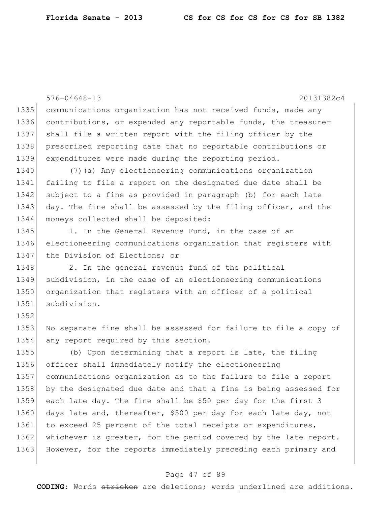576-04648-13 20131382c4 1335 communications organization has not received funds, made any 1336 contributions, or expended any reportable funds, the treasurer 1337 shall file a written report with the filing officer by the 1338 prescribed reporting date that no reportable contributions or 1339 expenditures were made during the reporting period. 1340 (7)(a) Any electioneering communications organization 1341 failing to file a report on the designated due date shall be 1342 subject to a fine as provided in paragraph (b) for each late 1343 day. The fine shall be assessed by the filing officer, and the 1344 moneys collected shall be deposited: 1345 1. In the General Revenue Fund, in the case of an 1346 electioneering communications organization that registers with 1347 the Division of Elections; or 1348 2. In the general revenue fund of the political 1349 subdivision, in the case of an electioneering communications 1350 organization that registers with an officer of a political 1351 subdivision. 1352 1353 No separate fine shall be assessed for failure to file a copy of 1354 any report required by this section. 1355 (b) Upon determining that a report is late, the filing 1356 officer shall immediately notify the electioneering 1357 communications organization as to the failure to file a report 1358 by the designated due date and that a fine is being assessed for 1359 each late day. The fine shall be \$50 per day for the first 3 1360 days late and, thereafter, \$500 per day for each late day, not 1361 to exceed 25 percent of the total receipts or expenditures, 1362 whichever is greater, for the period covered by the late report. 1363 However, for the reports immediately preceding each primary and

#### Page 47 of 89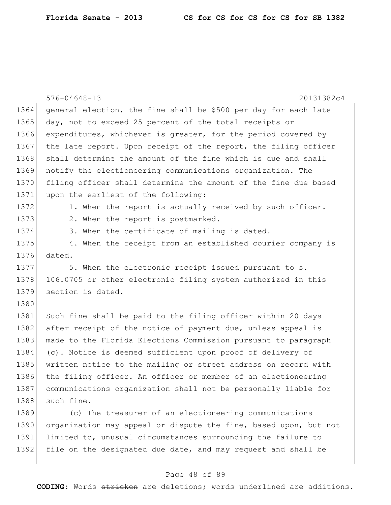|      | $576 - 04648 - 13$<br>20131382c4                                 |
|------|------------------------------------------------------------------|
| 1364 | general election, the fine shall be \$500 per day for each late  |
| 1365 | day, not to exceed 25 percent of the total receipts or           |
| 1366 | expenditures, whichever is greater, for the period covered by    |
| 1367 | the late report. Upon receipt of the report, the filing officer  |
| 1368 | shall determine the amount of the fine which is due and shall    |
| 1369 | notify the electioneering communications organization. The       |
| 1370 | filing officer shall determine the amount of the fine due based  |
| 1371 | upon the earliest of the following:                              |
| 1372 | 1. When the report is actually received by such officer.         |
| 1373 | 2. When the report is postmarked.                                |
| 1374 | 3. When the certificate of mailing is dated.                     |
| 1375 | 4. When the receipt from an established courier company is       |
| 1376 | dated.                                                           |
| 1377 | 5. When the electronic receipt issued pursuant to s.             |
| 1378 | 106.0705 or other electronic filing system authorized in this    |
| 1379 | section is dated.                                                |
| 1380 |                                                                  |
| 1381 | Such fine shall be paid to the filing officer within 20 days     |
| 1382 | after receipt of the notice of payment due, unless appeal is     |
| 1383 | made to the Florida Elections Commission pursuant to paragraph   |
| 1384 | (c). Notice is deemed sufficient upon proof of delivery of       |
| 1385 | written notice to the mailing or street address on record with   |
| 1386 | the filing officer. An officer or member of an electioneering    |
| 1387 | communications organization shall not be personally liable for   |
| 1388 | such fine.                                                       |
| 1389 | (c) The treasurer of an electioneering communications            |
| 1390 | organization may appeal or dispute the fine, based upon, but not |
| 1391 | limited to, unusual circumstances surrounding the failure to     |
| 1392 | file on the designated due date, and may request and shall be    |

## Page 48 of 89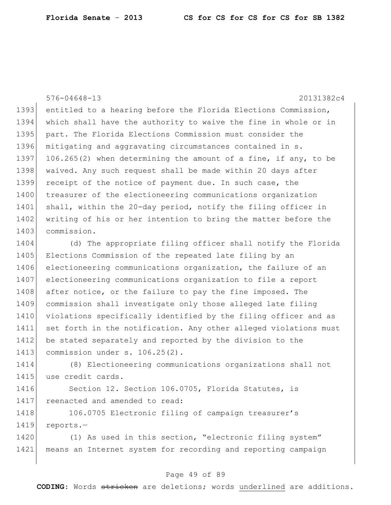576-04648-13 20131382c4 1393 entitled to a hearing before the Florida Elections Commission, 1394 which shall have the authority to waive the fine in whole or in 1395 part. The Florida Elections Commission must consider the 1396 mitigating and aggravating circumstances contained in s. 1397 106.265(2) when determining the amount of a fine, if any, to be 1398 waived. Any such request shall be made within 20 days after 1399 receipt of the notice of payment due. In such case, the 1400 treasurer of the electioneering communications organization 1401 shall, within the 20-day period, notify the filing officer in 1402 writing of his or her intention to bring the matter before the 1403 commission.

1404 (d) The appropriate filing officer shall notify the Florida 1405 Elections Commission of the repeated late filing by an 1406 electioneering communications organization, the failure of an 1407 electioneering communications organization to file a report 1408 after notice, or the failure to pay the fine imposed. The 1409 commission shall investigate only those alleged late filing 1410 violations specifically identified by the filing officer and as 1411 set forth in the notification. Any other alleged violations must 1412 be stated separately and reported by the division to the 1413 commission under s. 106.25(2).

1414 (8) Electioneering communications organizations shall not 1415 use credit cards.

1416 Section 12. Section 106.0705, Florida Statutes, is 1417 reenacted and amended to read:

1418 106.0705 Electronic filing of campaign treasurer's 1419 reports.-

1420 (1) As used in this section, "electronic filing system" 1421 means an Internet system for recording and reporting campaign

### Page 49 of 89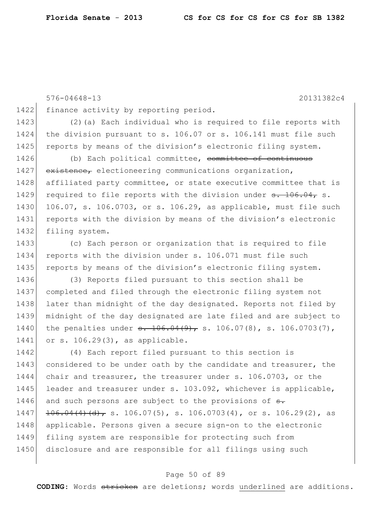576-04648-13 20131382c4 1422 finance activity by reporting period. 1423 (2)(a) Each individual who is required to file reports with 1424 | the division pursuant to s. 106.07 or s. 106.141 must file such 1425 reports by means of the division's electronic filing system. 1426 (b) Each political committee, committee of continuous 1427 existence, electioneering communications organization, 1428 affiliated party committee, or state executive committee that is 1429 required to file reports with the division under  $\theta$ . 106.04, s. 1430 106.07, s. 106.0703, or s. 106.29, as applicable, must file such 1431 reports with the division by means of the division's electronic 1432 filing system. 1433 (c) Each person or organization that is required to file 1434 reports with the division under s. 106.071 must file such 1435 reports by means of the division's electronic filing system. 1436 (3) Reports filed pursuant to this section shall be 1437 completed and filed through the electronic filing system not 1438 later than midnight of the day designated. Reports not filed by 1439 midnight of the day designated are late filed and are subject to 1440 the penalties under  $\theta$ . 106.04(9), s. 106.07(8), s. 106.0703(7), 1441 or s. 106.29(3), as applicable. 1442 (4) Each report filed pursuant to this section is 1443 considered to be under oath by the candidate and treasurer, the 1444 chair and treasurer, the treasurer under s. 106.0703, or the 1445 leader and treasurer under s. 103.092, whichever is applicable, 1446 and such persons are subject to the provisions of  $\frac{1}{2}$ .  $1447$   $106.04(4)(d)$ , s. 106.07(5), s. 106.0703(4), or s. 106.29(2), as 1448 applicable. Persons given a secure sign-on to the electronic 1449 filing system are responsible for protecting such from 1450 disclosure and are responsible for all filings using such

#### Page 50 of 89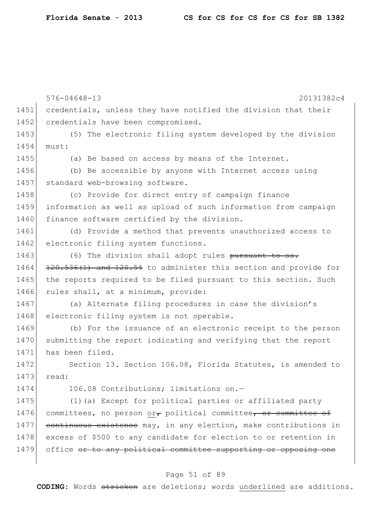|      | $576 - 04648 - 13$<br>20131382c4                                       |
|------|------------------------------------------------------------------------|
| 1451 | credentials, unless they have notified the division that their         |
| 1452 | credentials have been compromised.                                     |
| 1453 | (5) The electronic filing system developed by the division             |
| 1454 | must:                                                                  |
| 1455 | (a) Be based on access by means of the Internet.                       |
| 1456 | (b) Be accessible by anyone with Internet access using                 |
| 1457 | standard web-browsing software.                                        |
| 1458 | (c) Provide for direct entry of campaign finance                       |
| 1459 | information as well as upload of such information from campaign        |
| 1460 | finance software certified by the division.                            |
| 1461 | (d) Provide a method that prevents unauthorized access to              |
| 1462 | electronic filing system functions.                                    |
| 1463 | (6) The division shall adopt rules pursuant to ss.                     |
| 1464 | 120.536(1) and 120.54 to administer this section and provide for       |
| 1465 | the reports required to be filed pursuant to this section. Such        |
| 1466 | rules shall, at a minimum, provide:                                    |
| 1467 | (a) Alternate filing procedures in case the division's                 |
| 1468 | electronic filing system is not operable.                              |
| 1469 | (b) For the issuance of an electronic receipt to the person            |
| 1470 | submitting the report indicating and verifying that the report         |
| 1471 | has been filed.                                                        |
| 1472 | Section 13. Section 106.08, Florida Statutes, is amended to            |
| 1473 | read:                                                                  |
| 1474 | 106.08 Contributions; limitations on.-                                 |
| 1475 | (1) (a) Except for political parties or affiliated party               |
| 1476 | committees, no person $or_{\tau}$ political committee, or committee of |
| 1477 | continuous existence may, in any election, make contributions in       |
| 1478 | excess of \$500 to any candidate for election to or retention in       |
| 1479 | office or to any political committee supporting or opposing one        |
|      |                                                                        |

# Page 51 of 89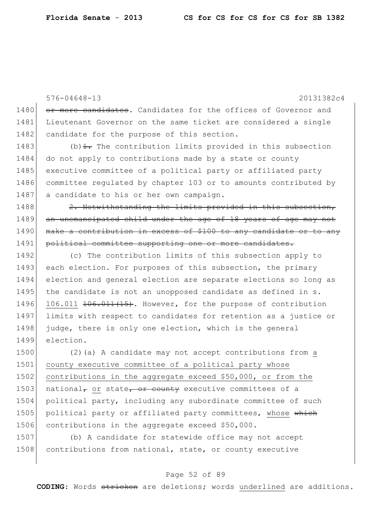576-04648-13 20131382c4 1480 or more candidates. Candidates for the offices of Governor and 1481 Lieutenant Governor on the same ticket are considered a single 1482 candidate for the purpose of this section. 1483 (b) $\pm$ . The contribution limits provided in this subsection 1484 do not apply to contributions made by a state or county 1485 executive committee of a political party or affiliated party 1486 committee regulated by chapter 103 or to amounts contributed by 1487 a candidate to his or her own campaign. 1488  $\vert$  2. Notwithstanding the limits provided in this subsection, 1489 an unemancipated child under the age of 18 years of age may not 1490 make a contribution in excess of \$100 to any candidate or to any 1491 political committee supporting one or more candidates. 1492 (c) The contribution limits of this subsection apply to 1493 each election. For purposes of this subsection, the primary 1494 election and general election are separate elections so long as 1495 the candidate is not an unopposed candidate as defined in s. 1496 106.011 <del>106.011(15)</del>. However, for the purpose of contribution 1497 limits with respect to candidates for retention as a justice or 1498 judge, there is only one election, which is the general 1499 election. 1500 (2)(a) A candidate may not accept contributions from a 1501 county executive committee of a political party whose 1502 contributions in the aggregate exceed \$50,000, or from the 1503 national<sub> $\tau$ </sub> or state, or county executive committees of a 1504 political party, including any subordinate committee of such 1505 political party or affiliated party committees, whose which 1506 contributions in the aggregate exceed \$50,000. 1507 (b) A candidate for statewide office may not accept

1508 contributions from national, state, or county executive

### Page 52 of 89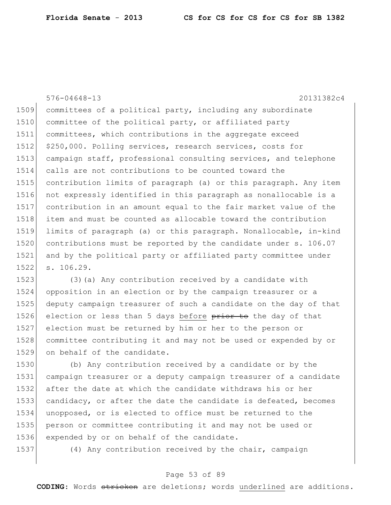576-04648-13 20131382c4 committees of a political party, including any subordinate 1510 committee of the political party, or affiliated party committees, which contributions in the aggregate exceed 1512 \$250,000. Polling services, research services, costs for 1513 campaign staff, professional consulting services, and telephone calls are not contributions to be counted toward the contribution limits of paragraph (a) or this paragraph. Any item not expressly identified in this paragraph as nonallocable is a contribution in an amount equal to the fair market value of the item and must be counted as allocable toward the contribution limits of paragraph (a) or this paragraph. Nonallocable, in-kind 1520 contributions must be reported by the candidate under s. 106.07 and by the political party or affiliated party committee under s. 106.29. 1523 (3)(a) Any contribution received by a candidate with opposition in an election or by the campaign treasurer or a

 deputy campaign treasurer of such a candidate on the day of that 1526 election or less than 5 days before prior to the day of that 1527 election must be returned by him or her to the person or 1528 committee contributing it and may not be used or expended by or on behalf of the candidate.

 (b) Any contribution received by a candidate or by the campaign treasurer or a deputy campaign treasurer of a candidate after the date at which the candidate withdraws his or her candidacy, or after the date the candidate is defeated, becomes unopposed, or is elected to office must be returned to the person or committee contributing it and may not be used or expended by or on behalf of the candidate.

(4) Any contribution received by the chair, campaign

### Page 53 of 89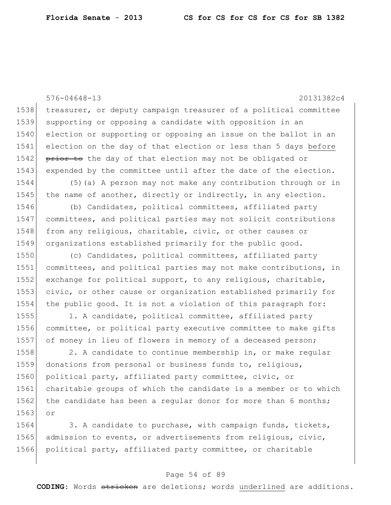576-04648-13 20131382c4 1538 treasurer, or deputy campaign treasurer of a political committee 1539 supporting or opposing a candidate with opposition in an 1540 election or supporting or opposing an issue on the ballot in an 1541 election on the day of that election or less than 5 days before 1542 prior to the day of that election may not be obligated or 1543 expended by the committee until after the date of the election. 1544 (5)(a) A person may not make any contribution through or in 1545 the name of another, directly or indirectly, in any election. 1546 (b) Candidates, political committees, affiliated party 1547 committees, and political parties may not solicit contributions 1548 from any religious, charitable, civic, or other causes or 1549 organizations established primarily for the public good. 1550 (c) Candidates, political committees, affiliated party 1551 committees, and political parties may not make contributions, in 1552 exchange for political support, to any religious, charitable, 1553 civic, or other cause or organization established primarily for 1554 the public good. It is not a violation of this paragraph for: 1555 1. A candidate, political committee, affiliated party 1556 committee, or political party executive committee to make gifts 1557 of money in lieu of flowers in memory of a deceased person; 1558 2. A candidate to continue membership in, or make regular 1559 donations from personal or business funds to, religious, 1560 political party, affiliated party committee, civic, or 1561 charitable groups of which the candidate is a member or to which 1562 the candidate has been a regular donor for more than 6 months; 1563 or 1564 3. A candidate to purchase, with campaign funds, tickets, 1565 admission to events, or advertisements from religious, civic,

1566 political party, affiliated party committee, or charitable

## Page 54 of 89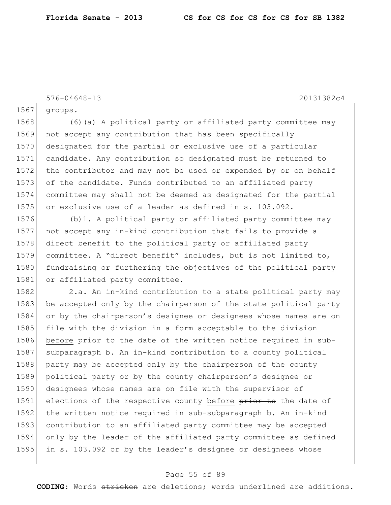576-04648-13 20131382c4

1567 groups.

1568 (6)(a) A political party or affiliated party committee may 1569 not accept any contribution that has been specifically 1570 designated for the partial or exclusive use of a particular 1571 candidate. Any contribution so designated must be returned to 1572 the contributor and may not be used or expended by or on behalf 1573 of the candidate. Funds contributed to an affiliated party 1574 committee may shall not be deemed as designated for the partial 1575 or exclusive use of a leader as defined in s. 103.092.

1576 (b)1. A political party or affiliated party committee may 1577 not accept any in-kind contribution that fails to provide a 1578 direct benefit to the political party or affiliated party 1579 committee. A "direct benefit" includes, but is not limited to, 1580 fundraising or furthering the objectives of the political party 1581 or affiliated party committee.

1582 2.a. An in-kind contribution to a state political party may 1583 be accepted only by the chairperson of the state political party 1584 or by the chairperson's designee or designees whose names are on 1585 file with the division in a form acceptable to the division 1586 before prior to the date of the written notice required in sub-1587 subparagraph b. An in-kind contribution to a county political 1588 party may be accepted only by the chairperson of the county 1589 political party or by the county chairperson's designee or 1590 designees whose names are on file with the supervisor of 1591 elections of the respective county before prior to the date of 1592 the written notice required in sub-subparagraph b. An in-kind 1593 contribution to an affiliated party committee may be accepted 1594 only by the leader of the affiliated party committee as defined 1595 in s. 103.092 or by the leader's designee or designees whose

#### Page 55 of 89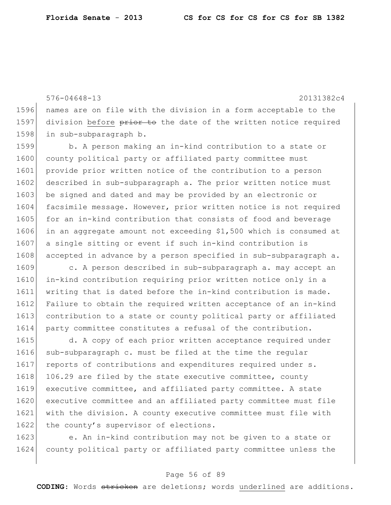576-04648-13 20131382c4 1596 names are on file with the division in a form acceptable to the 1597 division before prior to the date of the written notice required 1598 in sub-subparagraph b.

1599 b. A person making an in-kind contribution to a state or 1600 county political party or affiliated party committee must 1601 provide prior written notice of the contribution to a person 1602 described in sub-subparagraph a. The prior written notice must 1603 be signed and dated and may be provided by an electronic or 1604 facsimile message. However, prior written notice is not required 1605 for an in-kind contribution that consists of food and beverage 1606 in an aggregate amount not exceeding \$1,500 which is consumed at 1607 a single sitting or event if such in-kind contribution is 1608 accepted in advance by a person specified in sub-subparagraph a.

1609 c. A person described in sub-subparagraph a. may accept an 1610 in-kind contribution requiring prior written notice only in a 1611 writing that is dated before the in-kind contribution is made. 1612 Failure to obtain the required written acceptance of an in-kind 1613 contribution to a state or county political party or affiliated 1614 party committee constitutes a refusal of the contribution.

1615 d. A copy of each prior written acceptance required under 1616 sub-subparagraph c. must be filed at the time the regular 1617 reports of contributions and expenditures required under s. 1618 106.29 are filed by the state executive committee, county 1619 executive committee, and affiliated party committee. A state 1620 executive committee and an affiliated party committee must file 1621 with the division. A county executive committee must file with 1622 the county's supervisor of elections.

1623 e. An in-kind contribution may not be given to a state or 1624 county political party or affiliated party committee unless the

### Page 56 of 89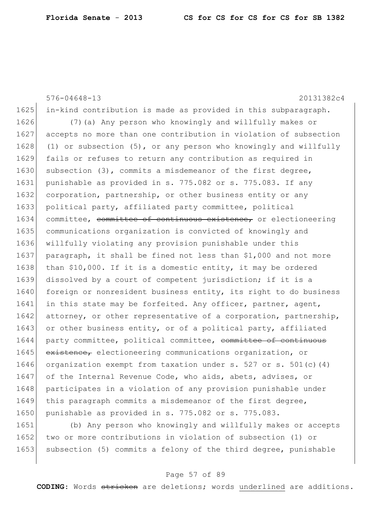576-04648-13 20131382c4 1625 in-kind contribution is made as provided in this subparagraph. 1626 (7)(a) Any person who knowingly and willfully makes or 1627 accepts no more than one contribution in violation of subsection 1628 (1) or subsection (5), or any person who knowingly and willfully 1629 fails or refuses to return any contribution as required in 1630 subsection (3), commits a misdemeanor of the first degree, 1631 punishable as provided in s. 775.082 or s. 775.083. If any 1632 corporation, partnership, or other business entity or any 1633 political party, affiliated party committee, political 1634 committee, committee of continuous existence, or electioneering 1635 communications organization is convicted of knowingly and 1636 willfully violating any provision punishable under this 1637 | paragraph, it shall be fined not less than \$1,000 and not more 1638 than \$10,000. If it is a domestic entity, it may be ordered 1639 dissolved by a court of competent jurisdiction; if it is a 1640 foreign or nonresident business entity, its right to do business 1641 in this state may be forfeited. Any officer, partner, agent, 1642 attorney, or other representative of a corporation, partnership, 1643 or other business entity, or of a political party, affiliated 1644 party committee, political committee, committee of continuous 1645 existence, electioneering communications organization, or 1646 organization exempt from taxation under s. 527 or s. 501(c)(4) 1647 of the Internal Revenue Code, who aids, abets, advises, or 1648 participates in a violation of any provision punishable under 1649 this paragraph commits a misdemeanor of the first degree, 1650 punishable as provided in s. 775.082 or s. 775.083.

1651 (b) Any person who knowingly and willfully makes or accepts 1652 two or more contributions in violation of subsection (1) or 1653 subsection (5) commits a felony of the third degree, punishable

### Page 57 of 89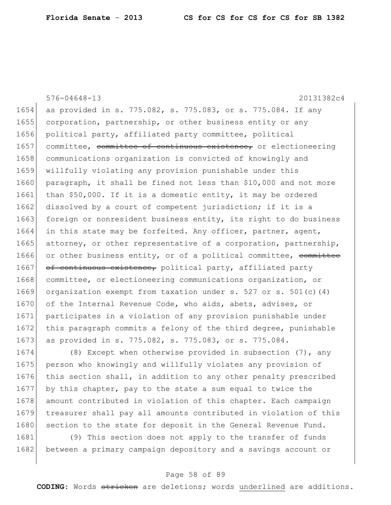576-04648-13 20131382c4 1654 as provided in s. 775.082, s. 775.083, or s. 775.084. If any 1655 corporation, partnership, or other business entity or any 1656 political party, affiliated party committee, political 1657 committee, committee of continuous existence, or electioneering 1658 communications organization is convicted of knowingly and 1659 willfully violating any provision punishable under this 1660 paragraph, it shall be fined not less than \$10,000 and not more 1661 than \$50,000. If it is a domestic entity, it may be ordered 1662 dissolved by a court of competent jurisdiction; if it is a 1663 foreign or nonresident business entity, its right to do business 1664 in this state may be forfeited. Any officer, partner, agent, 1665 attorney, or other representative of a corporation, partnership, 1666 or other business entity, or of a political committee, committee 1667 of continuous existence, political party, affiliated party 1668 committee, or electioneering communications organization, or 1669 organization exempt from taxation under s. 527 or s. 501(c)(4) 1670 of the Internal Revenue Code, who aids, abets, advises, or 1671 participates in a violation of any provision punishable under 1672 | this paragraph commits a felony of the third degree, punishable 1673 as provided in s. 775.082, s. 775.083, or s. 775.084. 1674 (8) Except when otherwise provided in subsection (7), any 1675 person who knowingly and willfully violates any provision of

1676 this section shall, in addition to any other penalty prescribed 1677 by this chapter, pay to the state a sum equal to twice the 1678 amount contributed in violation of this chapter. Each campaign 1679 treasurer shall pay all amounts contributed in violation of this 1680 section to the state for deposit in the General Revenue Fund.

1681 (9) This section does not apply to the transfer of funds 1682 between a primary campaign depository and a savings account or

## Page 58 of 89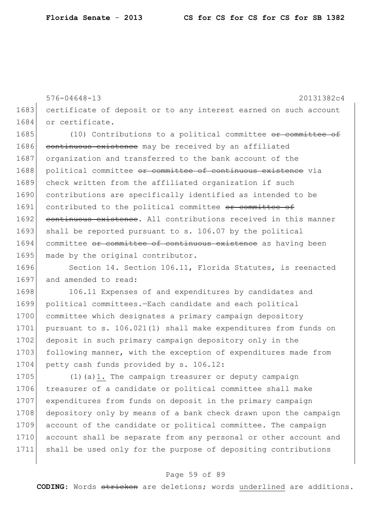576-04648-13 20131382c4 1683 certificate of deposit or to any interest earned on such account 1684 or certificate.

1685 (10) Contributions to a political committee or committee of 1686 continuous existence may be received by an affiliated 1687 organization and transferred to the bank account of the 1688 political committee or committee of continuous existence via 1689 check written from the affiliated organization if such 1690 contributions are specifically identified as intended to be 1691 contributed to the political committee of committee of 1692 continuous existence. All contributions received in this manner 1693 shall be reported pursuant to s. 106.07 by the political 1694 committee or committee of continuous existence as having been 1695 made by the original contributor.

1696 Section 14. Section 106.11, Florida Statutes, is reenacted 1697 and amended to read:

1698 106.11 Expenses of and expenditures by candidates and 1699 political committees.—Each candidate and each political 1700 committee which designates a primary campaign depository 1701 | pursuant to s. 106.021(1) shall make expenditures from funds on 1702 deposit in such primary campaign depository only in the 1703 following manner, with the exception of expenditures made from 1704 petty cash funds provided by s. 106.12:

1705  $(1)(a)$ 1. The campaign treasurer or deputy campaign 1706 treasurer of a candidate or political committee shall make 1707 expenditures from funds on deposit in the primary campaign 1708 depository only by means of a bank check drawn upon the campaign 1709 account of the candidate or political committee. The campaign 1710 account shall be separate from any personal or other account and 1711 shall be used only for the purpose of depositing contributions

## Page 59 of 89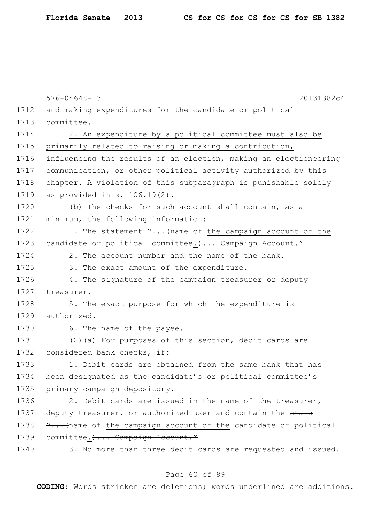|      | $576 - 04648 - 13$<br>20131382c4                                 |
|------|------------------------------------------------------------------|
| 1712 | and making expenditures for the candidate or political           |
| 1713 | committee.                                                       |
| 1714 | 2. An expenditure by a political committee must also be          |
| 1715 | primarily related to raising or making a contribution,           |
| 1716 | influencing the results of an election, making an electioneering |
| 1717 | communication, or other political activity authorized by this    |
| 1718 | chapter. A violation of this subparagraph is punishable solely   |
| 1719 | as provided in $s. 106.19(2)$ .                                  |
| 1720 | (b) The checks for such account shall contain, as a              |
| 1721 | minimum, the following information:                              |
| 1722 | 1. The statement " (name of the campaign account of the          |
| 1723 | candidate or political committee.) Campaign Account."            |
| 1724 | 2. The account number and the name of the bank.                  |
| 1725 | 3. The exact amount of the expenditure.                          |
| 1726 | 4. The signature of the campaign treasurer or deputy             |
| 1727 | treasurer.                                                       |
| 1728 | 5. The exact purpose for which the expenditure is                |
| 1729 | authorized.                                                      |
| 1730 | 6. The name of the payee.                                        |
| 1731 | (2) (a) For purposes of this section, debit cards are            |
| 1732 | considered bank checks, if:                                      |
| 1733 | 1. Debit cards are obtained from the same bank that has          |
| 1734 | been designated as the candidate's or political committee's      |
| 1735 | primary campaign depository.                                     |
| 1736 | 2. Debit cards are issued in the name of the treasurer,          |
| 1737 | deputy treasurer, or authorized user and contain the state       |
| 1738 | " (name of the campaign account of the candidate or political    |
| 1739 | committee. )  Campaign Account."                                 |
| 1740 | 3. No more than three debit cards are requested and issued.      |
|      |                                                                  |

# Page 60 of 89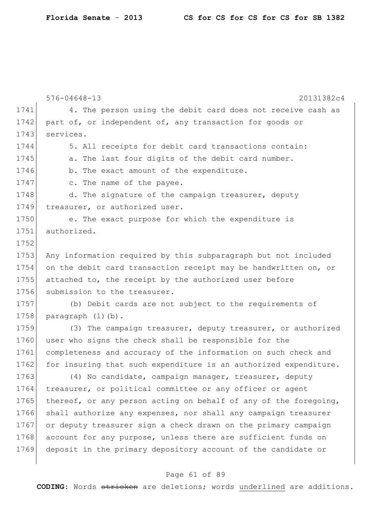```
576-04648-13 20131382c4
1741 4. The person using the debit card does not receive cash as
1742 part of, or independent of, any transaction for goods or
1743 services.
1744 5. All receipts for debit card transactions contain:
1745 a. The last four digits of the debit card number.
1746 b. The exact amount of the expenditure.
1747 c. The name of the payee.
1748 d. The signature of the campaign treasurer, deputy
1749 treasurer, or authorized user.
1750 e. The exact purpose for which the expenditure is 
1751 authorized.
1752
1753 Any information required by this subparagraph but not included
1754 on the debit card transaction receipt may be handwritten on, or
1755 attached to, the receipt by the authorized user before 
1756 submission to the treasurer.
1757 (b) Debit cards are not subject to the requirements of 
1758 paragraph (1)(b).
1759 (3) The campaign treasurer, deputy treasurer, or authorized 
1760 user who signs the check shall be responsible for the
1761 completeness and accuracy of the information on such check and
1762 for insuring that such expenditure is an authorized expenditure.
1763 (4) No candidate, campaign manager, treasurer, deputy
1764 treasurer, or political committee or any officer or agent
1765 thereof, or any person acting on behalf of any of the foregoing,
1766 shall authorize any expenses, nor shall any campaign treasurer
1767 or deputy treasurer sign a check drawn on the primary campaign
1768 account for any purpose, unless there are sufficient funds on
1769 deposit in the primary depository account of the candidate or
```
### Page 61 of 89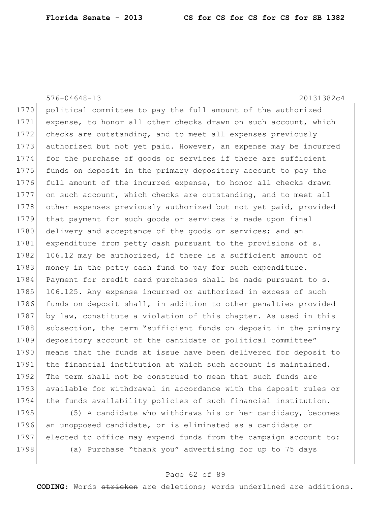576-04648-13 20131382c4 1770 political committee to pay the full amount of the authorized 1771 expense, to honor all other checks drawn on such account, which 1772 checks are outstanding, and to meet all expenses previously 1773 authorized but not yet paid. However, an expense may be incurred 1774 for the purchase of goods or services if there are sufficient 1775 funds on deposit in the primary depository account to pay the 1776 full amount of the incurred expense, to honor all checks drawn 1777 on such account, which checks are outstanding, and to meet all 1778 other expenses previously authorized but not yet paid, provided 1779 that payment for such goods or services is made upon final 1780 delivery and acceptance of the goods or services; and an 1781 expenditure from petty cash pursuant to the provisions of s. 1782 106.12 may be authorized, if there is a sufficient amount of 1783 money in the petty cash fund to pay for such expenditure. 1784 Payment for credit card purchases shall be made pursuant to s. 1785 106.125. Any expense incurred or authorized in excess of such 1786 funds on deposit shall, in addition to other penalties provided 1787 by law, constitute a violation of this chapter. As used in this 1788 subsection, the term "sufficient funds on deposit in the primary 1789 depository account of the candidate or political committee" 1790 means that the funds at issue have been delivered for deposit to 1791 the financial institution at which such account is maintained. 1792 The term shall not be construed to mean that such funds are 1793 available for withdrawal in accordance with the deposit rules or 1794 the funds availability policies of such financial institution.

1795 (5) A candidate who withdraws his or her candidacy, becomes 1796 an unopposed candidate, or is eliminated as a candidate or 1797 elected to office may expend funds from the campaign account to: 1798 (a) Purchase "thank you" advertising for up to 75 days

### Page 62 of 89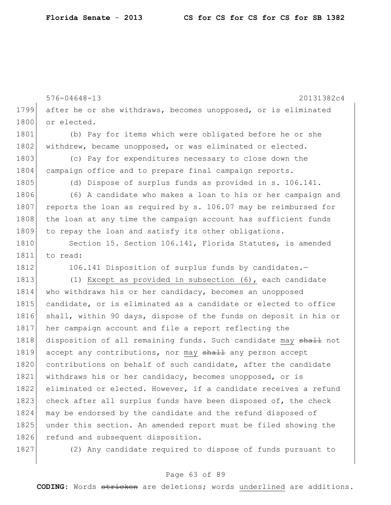|      | $576 - 04648 - 13$<br>20131382c4                                 |
|------|------------------------------------------------------------------|
| 1799 | after he or she withdraws, becomes unopposed, or is eliminated   |
| 1800 | or elected.                                                      |
| 1801 | (b) Pay for items which were obligated before he or she          |
| 1802 | withdrew, became unopposed, or was eliminated or elected.        |
| 1803 | (c) Pay for expenditures necessary to close down the             |
| 1804 | campaign office and to prepare final campaign reports.           |
| 1805 | (d) Dispose of surplus funds as provided in s. 106.141.          |
| 1806 | (6) A candidate who makes a loan to his or her campaign and      |
| 1807 | reports the loan as required by s. 106.07 may be reimbursed for  |
| 1808 | the loan at any time the campaign account has sufficient funds   |
| 1809 | to repay the loan and satisfy its other obligations.             |
| 1810 | Section 15. Section 106.141, Florida Statutes, is amended        |
| 1811 | to read:                                                         |
| 1812 | 106.141 Disposition of surplus funds by candidates.-             |
| 1813 | (1) Except as provided in subsection $(6)$ , each candidate      |
| 1814 | who withdraws his or her candidacy, becomes an unopposed         |
| 1815 | candidate, or is eliminated as a candidate or elected to office  |
| 1816 | shall, within 90 days, dispose of the funds on deposit in his or |
| 1817 | her campaign account and file a report reflecting the            |
| 1818 | disposition of all remaining funds. Such candidate may shall not |
| 1819 | accept any contributions, nor may shall any person accept        |
| 1820 | contributions on behalf of such candidate, after the candidate   |
| 1821 | withdraws his or her candidacy, becomes unopposed, or is         |
| 1822 | eliminated or elected. However, if a candidate receives a refund |
| 1823 | check after all surplus funds have been disposed of, the check   |
| 1824 | may be endorsed by the candidate and the refund disposed of      |
| 1825 | under this section. An amended report must be filed showing the  |
| 1826 | refund and subsequent disposition.                               |
| 1827 | (2) Any candidate required to dispose of funds pursuant to       |

Page 63 of 89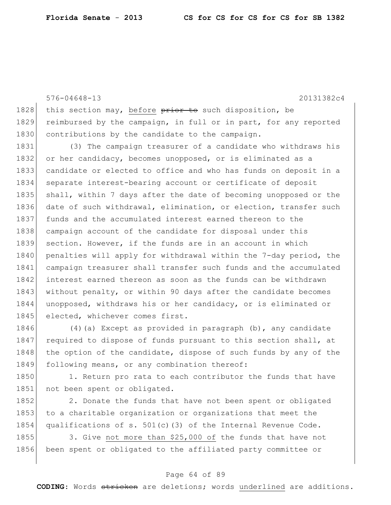576-04648-13 20131382c4 1828 this section may, before  $\frac{1828}{1800}$  disposition, be 1829 reimbursed by the campaign, in full or in part, for any reported 1830 contributions by the candidate to the campaign. 1831 (3) The campaign treasurer of a candidate who withdraws his 1832 or her candidacy, becomes unopposed, or is eliminated as a 1833 candidate or elected to office and who has funds on deposit in a 1834 separate interest-bearing account or certificate of deposit 1835 shall, within 7 days after the date of becoming unopposed or the 1836 date of such withdrawal, elimination, or election, transfer such 1837 funds and the accumulated interest earned thereon to the 1838 campaign account of the candidate for disposal under this 1839 section. However, if the funds are in an account in which 1840 penalties will apply for withdrawal within the 7-day period, the 1841 campaign treasurer shall transfer such funds and the accumulated 1842 interest earned thereon as soon as the funds can be withdrawn 1843 without penalty, or within 90 days after the candidate becomes 1844 unopposed, withdraws his or her candidacy, or is eliminated or 1845 elected, whichever comes first. 1846 (4)(a) Except as provided in paragraph (b), any candidate

1847 required to dispose of funds pursuant to this section shall, at 1848 the option of the candidate, dispose of such funds by any of the 1849 following means, or any combination thereof:

1850 1. Return pro rata to each contributor the funds that have 1851 not been spent or obligated.

1852 2. Donate the funds that have not been spent or obligated 1853 to a charitable organization or organizations that meet the 1854 qualifications of s. 501(c)(3) of the Internal Revenue Code.

1855 3. Give not more than \$25,000 of the funds that have not 1856 been spent or obligated to the affiliated party committee or

## Page 64 of 89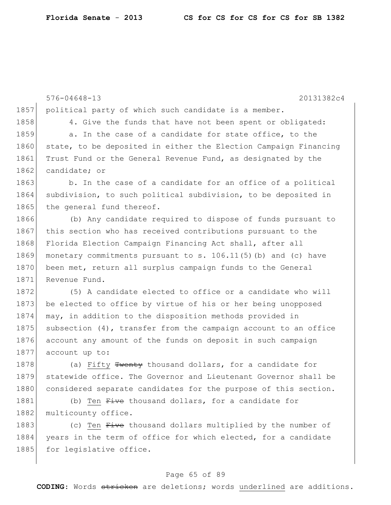|      | $576 - 04648 - 13$<br>20131382c4                                   |
|------|--------------------------------------------------------------------|
| 1857 | political party of which such candidate is a member.               |
| 1858 | 4. Give the funds that have not been spent or obligated:           |
| 1859 | a. In the case of a candidate for state office, to the             |
| 1860 | state, to be deposited in either the Election Campaign Financing   |
| 1861 | Trust Fund or the General Revenue Fund, as designated by the       |
| 1862 | candidate; or                                                      |
| 1863 | b. In the case of a candidate for an office of a political         |
| 1864 | subdivision, to such political subdivision, to be deposited in     |
| 1865 | the general fund thereof.                                          |
| 1866 | (b) Any candidate required to dispose of funds pursuant to         |
| 1867 | this section who has received contributions pursuant to the        |
| 1868 | Florida Election Campaign Financing Act shall, after all           |
| 1869 | monetary commitments pursuant to s. 106.11(5) (b) and (c) have     |
| 1870 | been met, return all surplus campaign funds to the General         |
| 1871 | Revenue Fund.                                                      |
| 1872 | (5) A candidate elected to office or a candidate who will          |
| 1873 | be elected to office by virtue of his or her being unopposed       |
| 1874 | may, in addition to the disposition methods provided in            |
| 1875 | subsection $(4)$ , transfer from the campaign account to an office |
| 1876 | account any amount of the funds on deposit in such campaign        |
| 1877 | account up to:                                                     |
| 1878 | (a) Fifty Twenty thousand dollars, for a candidate for             |
| 1879 | statewide office. The Governor and Lieutenant Governor shall be    |
| 1880 | considered separate candidates for the purpose of this section.    |
| 1881 | (b) Ten Five thousand dollars, for a candidate for                 |
| 1882 | multicounty office.                                                |
| 1883 | (c) Ten Five thousand dollars multiplied by the number of          |
| 1884 | years in the term of office for which elected, for a candidate     |
| 1885 | for legislative office.                                            |

# Page 65 of 89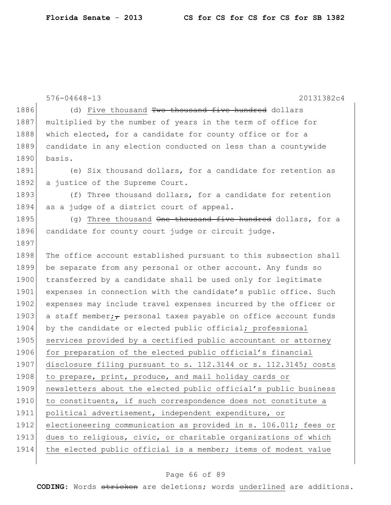|      | 20131382c4<br>$576 - 04648 - 13$                                      |
|------|-----------------------------------------------------------------------|
| 1886 | (d) Five thousand Two thousand five hundred dollars                   |
| 1887 | multiplied by the number of years in the term of office for           |
| 1888 | which elected, for a candidate for county office or for a             |
| 1889 | candidate in any election conducted on less than a countywide         |
| 1890 | basis.                                                                |
| 1891 | (e) Six thousand dollars, for a candidate for retention as            |
| 1892 | a justice of the Supreme Court.                                       |
| 1893 | (f) Three thousand dollars, for a candidate for retention             |
| 1894 | as a judge of a district court of appeal.                             |
| 1895 | (q) Three thousand One thousand five hundred dollars, for a           |
| 1896 | candidate for county court judge or circuit judge.                    |
| 1897 |                                                                       |
| 1898 | The office account established pursuant to this subsection shall      |
| 1899 | be separate from any personal or other account. Any funds so          |
| 1900 | transferred by a candidate shall be used only for legitimate          |
| 1901 | expenses in connection with the candidate's public office. Such       |
| 1902 | expenses may include travel expenses incurred by the officer or       |
| 1903 | a staff member; $\tau$ personal taxes payable on office account funds |
| 1904 | by the candidate or elected public official; professional             |
| 1905 | services provided by a certified public accountant or attorney        |
| 1906 | for preparation of the elected public official's financial            |
| 1907 | disclosure filing pursuant to s. 112.3144 or s. 112.3145; costs       |
| 1908 | to prepare, print, produce, and mail holiday cards or                 |
| 1909 | newsletters about the elected public official's public business       |
| 1910 | to constituents, if such correspondence does not constitute a         |
| 1911 | political advertisement, independent expenditure, or                  |
| 1912 | electioneering communication as provided in s. 106.011; fees or       |
| 1913 | dues to religious, civic, or charitable organizations of which        |
| 1914 | the elected public official is a member; items of modest value        |
|      |                                                                       |

# Page 66 of 89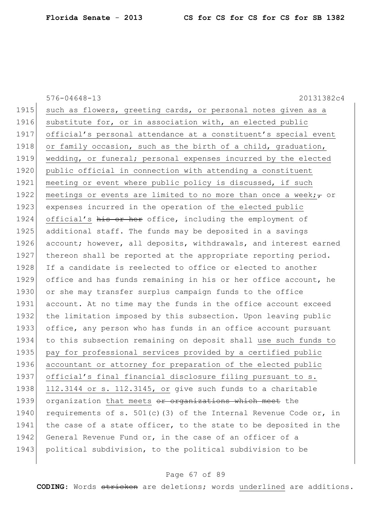576-04648-13 20131382c4 1915 such as flowers, greeting cards, or personal notes given as a 1916 substitute for, or in association with, an elected public 1917 official's personal attendance at a constituent's special event 1918 or family occasion, such as the birth of a child, graduation, 1919 wedding, or funeral; personal expenses incurred by the elected 1920 public official in connection with attending a constituent 1921 meeting or event where public policy is discussed, if such 1922 meetings or events are limited to no more than once a week; $\tau$  or 1923 expenses incurred in the operation of the elected public 1924 official's his or her office, including the employment of 1925 additional staff. The funds may be deposited in a savings 1926 account; however, all deposits, withdrawals, and interest earned 1927 thereon shall be reported at the appropriate reporting period. 1928 If a candidate is reelected to office or elected to another 1929 office and has funds remaining in his or her office account, he 1930 or she may transfer surplus campaign funds to the office 1931 account. At no time may the funds in the office account exceed 1932 the limitation imposed by this subsection. Upon leaving public 1933 office, any person who has funds in an office account pursuant 1934 to this subsection remaining on deposit shall use such funds to 1935 pay for professional services provided by a certified public 1936 accountant or attorney for preparation of the elected public 1937 official's final financial disclosure filing pursuant to s.  $1938$  112.3144 or s. 112.3145, or give such funds to a charitable 1939 organization that meets or organizations which meet the 1940 requirements of s. 501(c)(3) of the Internal Revenue Code or, in 1941 the case of a state officer, to the state to be deposited in the 1942 General Revenue Fund or, in the case of an officer of a 1943 political subdivision, to the political subdivision to be

#### Page 67 of 89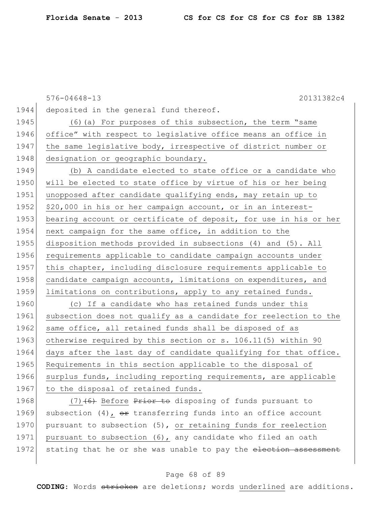576-04648-13 20131382c4 1944 deposited in the general fund thereof. 1945 (6) (a) For purposes of this subsection, the term "same 1946 office" with respect to legislative office means an office in 1947 | the same legislative body, irrespective of district number or 1948 designation or geographic boundary. 1949 (b) A candidate elected to state office or a candidate who 1950 will be elected to state office by virtue of his or her being 1951 unopposed after candidate qualifying ends, may retain up to 1952 \$20,000 in his or her campaign account, or in an interest-1953 bearing account or certificate of deposit, for use in his or her 1954 next campaign for the same office, in addition to the 1955 disposition methods provided in subsections (4) and (5). All 1956 requirements applicable to candidate campaign accounts under 1957 this chapter, including disclosure requirements applicable to 1958 candidate campaign accounts, limitations on expenditures, and 1959 limitations on contributions, apply to any retained funds. 1960 (c) If a candidate who has retained funds under this 1961 subsection does not qualify as a candidate for reelection to the 1962 same office, all retained funds shall be disposed of as 1963 otherwise required by this section or s. 106.11(5) within 90 1964 days after the last day of candidate qualifying for that office. 1965 Requirements in this section applicable to the disposal of 1966 surplus funds, including reporting requirements, are applicable 1967 to the disposal of retained funds. 1968 (7) $(6)$  Before Prior to disposing of funds pursuant to

1969 subsection (4),  $\theta$ r transferring funds into an office account 1970 pursuant to subsection (5), or retaining funds for reelection 1971 pursuant to subsection (6), any candidate who filed an oath 1972 stating that he or she was unable to pay the election assessment

## Page 68 of 89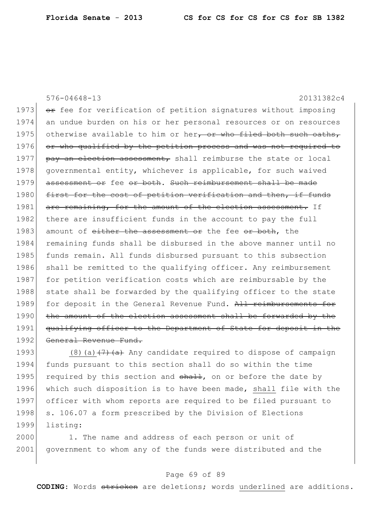576-04648-13 20131382c4 1973  $\sigma$  fee for verification of petition signatures without imposing 1974 an undue burden on his or her personal resources or on resources 1975 otherwise available to him or her, or who filed both such oaths, 1976 or who qualified by the petition process and was not required to 1977  $\beta$  pay an election assessment, shall reimburse the state or local 1978 governmental entity, whichever is applicable, for such waived 1979 assessment or fee or both. Such reimbursement shall be made 1980 first for the cost of petition verification and then, if funds 1981 are remaining, for the amount of the election assessment. If 1982 there are insufficient funds in the account to pay the full 1983 amount of either the assessment or the fee or both, the 1984 remaining funds shall be disbursed in the above manner until no 1985 funds remain. All funds disbursed pursuant to this subsection 1986 shall be remitted to the qualifying officer. Any reimbursement 1987 for petition verification costs which are reimbursable by the 1988 state shall be forwarded by the qualifying officer to the state 1989 for deposit in the General Revenue Fund. All reimbursements for 1990 the amount of the election assessment shall be forwarded by the 1991 qualifying officer to the Department of State for deposit in the 1992 General Revenue Fund.

1993 (8)(a) $(7)$  (a) Any candidate required to dispose of campaign 1994 funds pursuant to this section shall do so within the time 1995 required by this section and  $shath$ , on or before the date by 1996 which such disposition is to have been made, shall file with the 1997 officer with whom reports are required to be filed pursuant to 1998 s. 106.07 a form prescribed by the Division of Elections 1999 listing:

2000 1. The name and address of each person or unit of 2001 government to whom any of the funds were distributed and the

## Page 69 of 89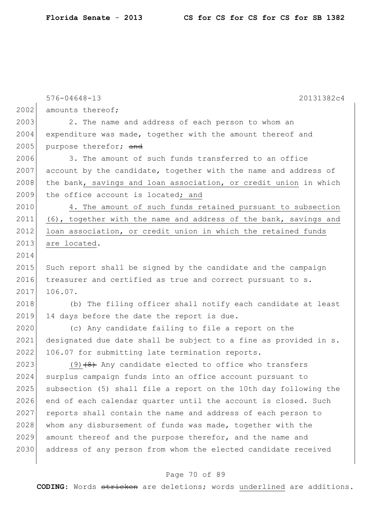|      | $576 - 04648 - 13$<br>20131382c4                                 |
|------|------------------------------------------------------------------|
| 2002 | amounts thereof;                                                 |
| 2003 | 2. The name and address of each person to whom an                |
| 2004 | expenditure was made, together with the amount thereof and       |
| 2005 | purpose therefor; and                                            |
| 2006 | 3. The amount of such funds transferred to an office             |
| 2007 | account by the candidate, together with the name and address of  |
| 2008 | the bank, savings and loan association, or credit union in which |
| 2009 | the office account is located; and                               |
| 2010 | 4. The amount of such funds retained pursuant to subsection      |
| 2011 | (6), together with the name and address of the bank, savings and |
| 2012 | loan association, or credit union in which the retained funds    |
| 2013 | are located.                                                     |
| 2014 |                                                                  |
| 2015 | Such report shall be signed by the candidate and the campaign    |
| 2016 | treasurer and certified as true and correct pursuant to s.       |
| 2017 | 106.07.                                                          |
| 2018 | (b) The filing officer shall notify each candidate at least      |
| 2019 | 14 days before the date the report is due.                       |
| 2020 | (c) Any candidate failing to file a report on the                |
| 2021 | designated due date shall be subject to a fine as provided in s. |
| 2022 | 106.07 for submitting late termination reports.                  |
| 2023 | $(9)$ $(4)$ Any candidate elected to office who transfers        |
| 2024 | surplus campaign funds into an office account pursuant to        |
| 2025 | subsection (5) shall file a report on the 10th day following the |
| 2026 | end of each calendar quarter until the account is closed. Such   |
| 2027 | reports shall contain the name and address of each person to     |
| 2028 | whom any disbursement of funds was made, together with the       |
| 2029 | amount thereof and the purpose therefor, and the name and        |
| 2030 | address of any person from whom the elected candidate received   |

# Page 70 of 89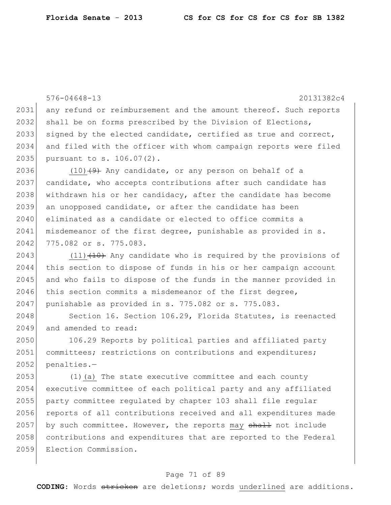576-04648-13 20131382c4 2031 any refund or reimbursement and the amount thereof. Such reports 2032 shall be on forms prescribed by the Division of Elections, 2033 signed by the elected candidate, certified as true and correct, 2034 and filed with the officer with whom campaign reports were filed 2035 pursuant to s. 106.07(2). 2036 (10) $(9)$  Any candidate, or any person on behalf of a 2037 candidate, who accepts contributions after such candidate has 2038 withdrawn his or her candidacy, after the candidate has become 2039 an unopposed candidate, or after the candidate has been 2040 eliminated as a candidate or elected to office commits a  $2041$  misdemeanor of the first degree, punishable as provided in s. 2042 775.082 or s. 775.083. 2043 (11) $(10)$  Any candidate who is required by the provisions of 2044 this section to dispose of funds in his or her campaign account 2045 and who fails to dispose of the funds in the manner provided in 2046 this section commits a misdemeanor of the first degree, 2047 | punishable as provided in s. 775.082 or s. 775.083. 2048 Section 16. Section 106.29, Florida Statutes, is reenacted 2049 and amended to read: 2050 106.29 Reports by political parties and affiliated party 2051 committees; restrictions on contributions and expenditures; 2052 penalties.-2053 (1)(a) The state executive committee and each county 2054 executive committee of each political party and any affiliated 2055 party committee regulated by chapter 103 shall file regular 2056 reports of all contributions received and all expenditures made 2057 by such committee. However, the reports may shall not include 2058 contributions and expenditures that are reported to the Federal 2059 Election Commission.

#### Page 71 of 89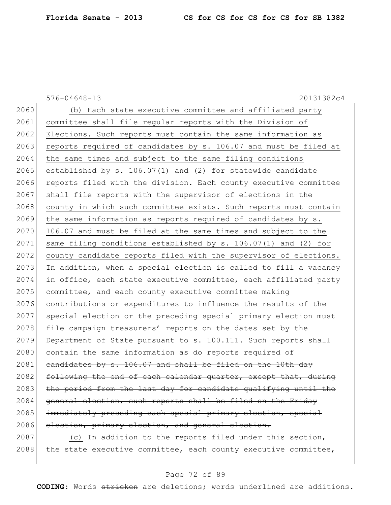576-04648-13 20131382c4

2060 (b) Each state executive committee and affiliated party 2061 committee shall file regular reports with the Division of 2062 Elections. Such reports must contain the same information as 2063 reports required of candidates by  $s. 106.07$  and must be filed at 2064 the same times and subject to the same filing conditions  $2065$  established by s. 106.07(1) and (2) for statewide candidate 2066 reports filed with the division. Each county executive committee 2067 shall file reports with the supervisor of elections in the 2068 county in which such committee exists. Such reports must contain  $2069$  the same information as reports required of candidates by s.  $2070$  106.07 and must be filed at the same times and subject to the  $2071$  same filing conditions established by s. 106.07(1) and (2) for 2072 county candidate reports filed with the supervisor of elections. 2073 In addition, when a special election is called to fill a vacancy 2074 in office, each state executive committee, each affiliated party 2075 committee, and each county executive committee making 2076 contributions or expenditures to influence the results of the 2077 special election or the preceding special primary election must 2078 file campaign treasurers' reports on the dates set by the  $2079$  Department of State pursuant to s. 100.111. Such reports shall 2080 contain the same information as do reports required of 2081 candidates by s.  $106.07$  and shall be filed on the 10th day  $2082$  following the end of each calendar quarter, except that, during  $2083$  the period from the last day for candidate qualifying until the 2084 general election, such reports shall be filed on the Friday 2085 immediately preceding each special primary election, special 2086 election, primary election, and general election.

2087 (c) In addition to the reports filed under this section,  $2088$  the state executive committee, each county executive committee,

### Page 72 of 89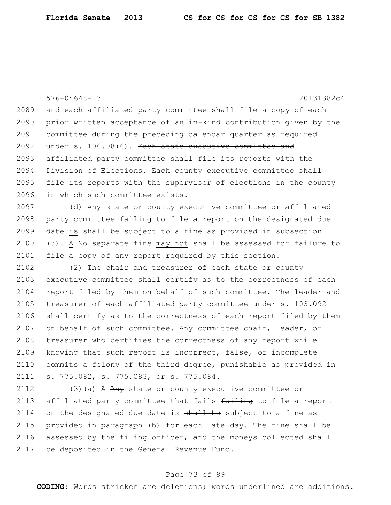576-04648-13 20131382c4 2089 and each affiliated party committee shall file a copy of each 2090 prior written acceptance of an in-kind contribution given by the 2091 committee during the preceding calendar quarter as required  $2092$  under s. 106.08(6). Each state executive committee and 2093 affiliated party committee shall file its reports with the 2094 Division of Elections. Each county executive committee shall 2095 file its reports with the supervisor of elections in the county 2096 in which such committee exists. 2097 (d) Any state or county executive committee or affiliated 2098 party committee failing to file a report on the designated due 2099 date is shall be subject to a fine as provided in subsection 2100 (3). A No separate fine may not  $shath$  be assessed for failure to 2101 file a copy of any report required by this section.  $2102$  (2) The chair and treasurer of each state or county 2103 executive committee shall certify as to the correctness of each 2104 report filed by them on behalf of such committee. The leader and 2105 treasurer of each affiliated party committee under s. 103.092 2106 shall certify as to the correctness of each report filed by them 2107 on behalf of such committee. Any committee chair, leader, or 2108 treasurer who certifies the correctness of any report while 2109 knowing that such report is incorrect, false, or incomplete 2110 commits a felony of the third degree, punishable as provided in 2111 s. 775.082, s. 775.083, or s. 775.084. 2112  $(3)(a)$  A  $\overrightarrow{Any}$  state or county executive committee or 2113 affiliated party committee that fails failing to file a report  $2114$  on the designated due date is  $shall$  be subject to a fine as 2115 provided in paragraph (b) for each late day. The fine shall be

## Page 73 of 89

2116 assessed by the filing officer, and the moneys collected shall

2117 be deposited in the General Revenue Fund.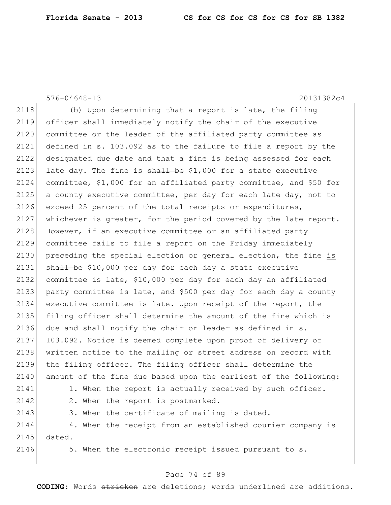576-04648-13 20131382c4

 $2118$  (b) Upon determining that a report is late, the filing 2119 officer shall immediately notify the chair of the executive 2120 committee or the leader of the affiliated party committee as 2121 defined in s. 103.092 as to the failure to file a report by the 2122 designated due date and that a fine is being assessed for each 2123 late day. The fine is  $shall$  be \$1,000 for a state executive 2124 committee, \$1,000 for an affiliated party committee, and \$50 for  $2125$  a county executive committee, per day for each late day, not to 2126 exceed 25 percent of the total receipts or expenditures, 2127 whichever is greater, for the period covered by the late report. 2128 However, if an executive committee or an affiliated party 2129 committee fails to file a report on the Friday immediately 2130 preceding the special election or general election, the fine is 2131  $\rightarrow$   $\rightarrow$   $\rightarrow$  510,000 per day for each day a state executive 2132 committee is late, \$10,000 per day for each day an affiliated 2133 party committee is late, and \$500 per day for each day a county 2134 executive committee is late. Upon receipt of the report, the 2135 filing officer shall determine the amount of the fine which is 2136 due and shall notify the chair or leader as defined in s. 2137 103.092. Notice is deemed complete upon proof of delivery of 2138 written notice to the mailing or street address on record with 2139 the filing officer. The filing officer shall determine the 2140 amount of the fine due based upon the earliest of the following: 2141 1. When the report is actually received by such officer. 2142 2. When the report is postmarked.  $2143$  3. When the certificate of mailing is dated. 2144 4. When the receipt from an established courier company is 2145 dated.  $2146$  5. When the electronic receipt issued pursuant to s.

## Page 74 of 89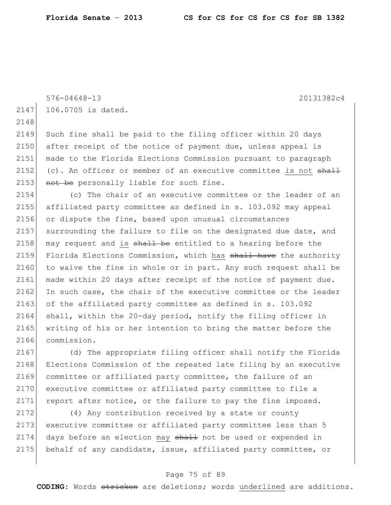```
576-04648-13 20131382c4
```
2147 106.0705 is dated.

2148

2149 Such fine shall be paid to the filing officer within 20 days 2150 after receipt of the notice of payment due, unless appeal is 2151 made to the Florida Elections Commission pursuant to paragraph 2152 (c). An officer or member of an executive committee is not  $shaH$ 2153 not be personally liable for such fine.

2154 (c) The chair of an executive committee or the leader of an 2155 affiliated party committee as defined in s. 103.092 may appeal 2156 or dispute the fine, based upon unusual circumstances  $2157$  surrounding the failure to file on the designated due date, and 2158 may request and is  $\frac{1}{2}$  be entitled to a hearing before the 2159 Florida Elections Commission, which has shall have the authority 2160 to waive the fine in whole or in part. Any such request shall be 2161 made within 20 days after receipt of the notice of payment due. 2162 In such case, the chair of the executive committee or the leader 2163 of the affiliated party committee as defined in s. 103.092 2164 shall, within the 20-day period, notify the filing officer in 2165 | writing of his or her intention to bring the matter before the 2166 commission.

2167 (d) The appropriate filing officer shall notify the Florida 2168 Elections Commission of the repeated late filing by an executive 2169 committee or affiliated party committee, the failure of an 2170 executive committee or affiliated party committee to file a 2171 report after notice, or the failure to pay the fine imposed.

2172 (4) Any contribution received by a state or county 2173 executive committee or affiliated party committee less than 5 2174 days before an election may shall not be used or expended in 2175 behalf of any candidate, issue, affiliated party committee, or

## Page 75 of 89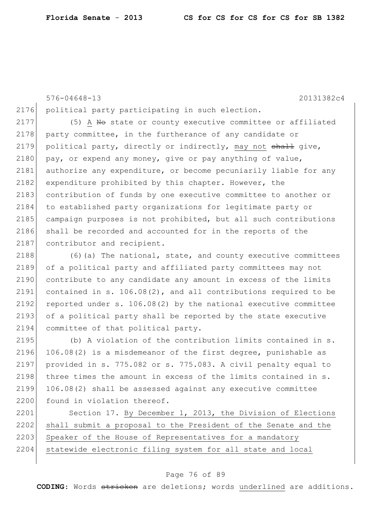576-04648-13 20131382c4 2176 political party participating in such election.  $2177$  (5) A No state or county executive committee or affiliated 2178 party committee, in the furtherance of any candidate or 2179 political party, directly or indirectly, may not shall give,  $2180$  pay, or expend any money, give or pay anything of value, 2181 authorize any expenditure, or become pecuniarily liable for any 2182 expenditure prohibited by this chapter. However, the 2183 contribution of funds by one executive committee to another or 2184 to established party organizations for legitimate party or 2185 campaign purposes is not prohibited, but all such contributions 2186 shall be recorded and accounted for in the reports of the 2187 contributor and recipient.

2188 (6)(a) The national, state, and county executive committees 2189 of a political party and affiliated party committees may not 2190 contribute to any candidate any amount in excess of the limits 2191 contained in s. 106.08(2), and all contributions required to be 2192 reported under s.  $106.08(2)$  by the national executive committee 2193 of a political party shall be reported by the state executive 2194 committee of that political party.

2195 (b) A violation of the contribution limits contained in s. 2196 106.08(2) is a misdemeanor of the first degree, punishable as 2197 provided in s.  $775.082$  or s.  $775.083$ . A civil penalty equal to 2198 three times the amount in excess of the limits contained in s. 2199 106.08(2) shall be assessed against any executive committee 2200 found in violation thereof.

2201 Section 17. By December 1, 2013, the Division of Elections 2202 shall submit a proposal to the President of the Senate and the 2203 Speaker of the House of Representatives for a mandatory 2204 statewide electronic filing system for all state and local

## Page 76 of 89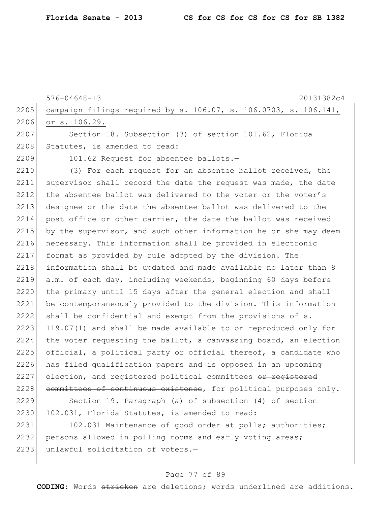|      | $576 - 04648 - 13$<br>20131382c4                                 |
|------|------------------------------------------------------------------|
| 2205 | campaign filings required by s. 106.07, s. 106.0703, s. 106.141, |
| 2206 | or s. 106.29.                                                    |
| 2207 | Section 18. Subsection (3) of section 101.62, Florida            |
| 2208 | Statutes, is amended to read:                                    |
| 2209 | 101.62 Request for absentee ballots.-                            |
| 2210 | (3) For each request for an absentee ballot received, the        |
| 2211 | supervisor shall record the date the request was made, the date  |
| 2212 | the absentee ballot was delivered to the voter or the voter's    |
| 2213 | designee or the date the absentee ballot was delivered to the    |
| 2214 | post office or other carrier, the date the ballot was received   |
| 2215 | by the supervisor, and such other information he or she may deem |
| 2216 | necessary. This information shall be provided in electronic      |
| 2217 | format as provided by rule adopted by the division. The          |
| 2218 | information shall be updated and made available no later than 8  |
| 2219 | a.m. of each day, including weekends, beginning 60 days before   |
| 2220 | the primary until 15 days after the general election and shall   |
| 2221 | be contemporaneously provided to the division. This information  |
| 2222 | shall be confidential and exempt from the provisions of s.       |
| 2223 | 119.07(1) and shall be made available to or reproduced only for  |
| 2224 | the voter requesting the ballot, a canvassing board, an election |
| 2225 | official, a political party or official thereof, a candidate who |
| 2226 | has filed qualification papers and is opposed in an upcoming     |
| 2227 | election, and registered political committees or registered      |
| 2228 | committees of continuous existence, for political purposes only. |
| 2229 | Section 19. Paragraph (a) of subsection (4) of section           |
| 2230 | 102.031, Florida Statutes, is amended to read:                   |

2231 102.031 Maintenance of good order at polls; authorities; 2232 persons allowed in polling rooms and early voting areas; 2233 unlawful solicitation of voters.-

## Page 77 of 89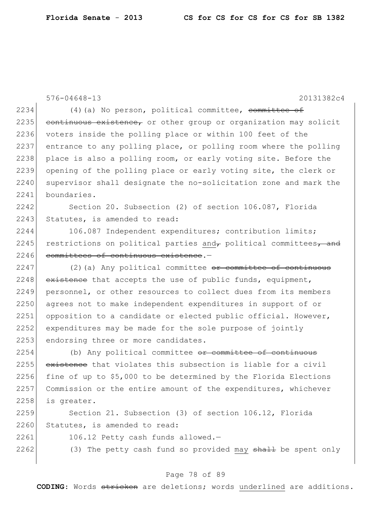576-04648-13 20131382c4 2234  $(4)$  (a) No person, political committee, committee of  $2235$  continuous existence, or other group or organization may solicit 2236 voters inside the polling place or within 100 feet of the 2237 entrance to any polling place, or polling room where the polling 2238 place is also a polling room, or early voting site. Before the 2239 opening of the polling place or early voting site, the clerk or 2240 supervisor shall designate the no-solicitation zone and mark the 2241 boundaries. 2242 Section 20. Subsection (2) of section 106.087, Florida 2243 Statutes, is amended to read: 2244 106.087 Independent expenditures; contribution limits; 2245 restrictions on political parties and political committees, and 2246 committees of continuous existence.  $2247$  (2)(a) Any political committee  $\theta$  committee of continuous  $2248$  existence that accepts the use of public funds, equipment, 2249 personnel, or other resources to collect dues from its members 2250 agrees not to make independent expenditures in support of or 2251 opposition to a candidate or elected public official. However, 2252 expenditures may be made for the sole purpose of jointly 2253 endorsing three or more candidates.  $2254$  (b) Any political committee  $\sigma$  committee of continuous 2255 existence that violates this subsection is liable for a civil 2256 fine of up to  $$5,000$  to be determined by the Florida Elections 2257 Commission or the entire amount of the expenditures, whichever 2258 is greater.

2259 Section 21. Subsection (3) of section 106.12, Florida 2260 Statutes, is amended to read:

2261 106.12 Petty cash funds allowed.-

2262 (3) The petty cash fund so provided may  $shaH$  be spent only

## Page 78 of 89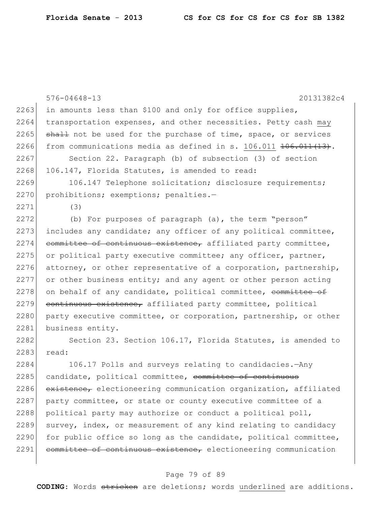|      | $576 - 04648 - 13$<br>20131382c4                                   |
|------|--------------------------------------------------------------------|
| 2263 | in amounts less than \$100 and only for office supplies,           |
| 2264 | transportation expenses, and other necessities. Petty cash may     |
| 2265 | shall not be used for the purchase of time, space, or services     |
| 2266 | from communications media as defined in s. 106.011 406.011 (13).   |
| 2267 | Section 22. Paragraph (b) of subsection (3) of section             |
| 2268 | 106.147, Florida Statutes, is amended to read:                     |
| 2269 | 106.147 Telephone solicitation; disclosure requirements;           |
| 2270 | prohibitions; exemptions; penalties.-                              |
| 2271 | (3)                                                                |
| 2272 | (b) For purposes of paragraph (a), the term "person"               |
| 2273 | includes any candidate; any officer of any political committee,    |
| 2274 | committee of continuous existence, affiliated party committee,     |
| 2275 | or political party executive committee; any officer, partner,      |
| 2276 | attorney, or other representative of a corporation, partnership,   |
| 2277 | or other business entity; and any agent or other person acting     |
| 2278 | on behalf of any candidate, political committee, committee of      |
| 2279 | continuous existence, affiliated party committee, political        |
| 2280 | party executive committee, or corporation, partnership, or other   |
| 2281 | business entity.                                                   |
| 2282 | Section 23. Section 106.17, Florida Statutes, is amended to        |
| 2283 | read:                                                              |
| 2284 | 106.17 Polls and surveys relating to candidacies.-Any              |
| 2285 | candidate, political committee, <del>committee of continuous</del> |
| 2286 | existence, electioneering communication organization, affiliated   |
| 2287 | party committee, or state or county executive committee of a       |
| 2288 | political party may authorize or conduct a political poll,         |
| 2289 | survey, index, or measurement of any kind relating to candidacy    |
| 2290 | for public office so long as the candidate, political committee,   |
| 2291 | committee of continuous existence, electioneering communication    |

# Page 79 of 89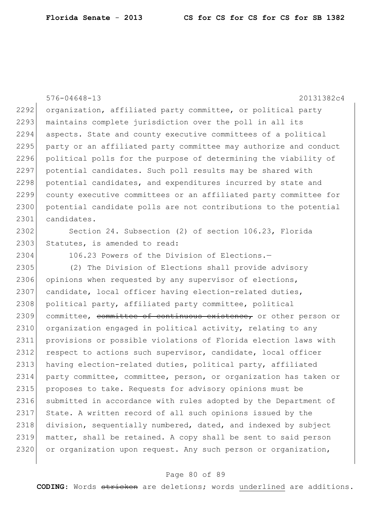576-04648-13 20131382c4 2292 organization, affiliated party committee, or political party 2293 maintains complete jurisdiction over the poll in all its 2294 aspects. State and county executive committees of a political 2295 party or an affiliated party committee may authorize and conduct 2296 political polls for the purpose of determining the viability of 2297 potential candidates. Such poll results may be shared with 2298 potential candidates, and expenditures incurred by state and 2299 county executive committees or an affiliated party committee for 2300 potential candidate polls are not contributions to the potential 2301 candidates. 2302 Section 24. Subsection (2) of section 106.23, Florida 2303 Statutes, is amended to read: 2304 106.23 Powers of the Division of Elections.-2305 (2) The Division of Elections shall provide advisory 2306 opinions when requested by any supervisor of elections, 2307 candidate, local officer having election-related duties, 2308 political party, affiliated party committee, political 2309 committee, committee of continuous existence, or other person or 2310 organization engaged in political activity, relating to any 2311 provisions or possible violations of Florida election laws with 2312 respect to actions such supervisor, candidate, local officer 2313 having election-related duties, political party, affiliated 2314 party committee, committee, person, or organization has taken or 2315 proposes to take. Requests for advisory opinions must be 2316 submitted in accordance with rules adopted by the Department of 2317 State. A written record of all such opinions issued by the 2318 division, sequentially numbered, dated, and indexed by subject 2319 matter, shall be retained. A copy shall be sent to said person 2320 or organization upon request. Any such person or organization,

#### Page 80 of 89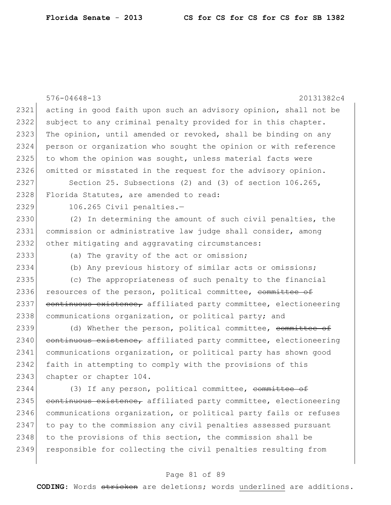|      | $576 - 04648 - 13$<br>20131382c4                                 |
|------|------------------------------------------------------------------|
| 2321 | acting in good faith upon such an advisory opinion, shall not be |
| 2322 | subject to any criminal penalty provided for in this chapter.    |
| 2323 | The opinion, until amended or revoked, shall be binding on any   |
| 2324 | person or organization who sought the opinion or with reference  |
| 2325 | to whom the opinion was sought, unless material facts were       |
| 2326 | omitted or misstated in the request for the advisory opinion.    |
| 2327 | Section 25. Subsections (2) and (3) of section 106.265,          |
| 2328 | Florida Statutes, are amended to read:                           |
| 2329 | 106.265 Civil penalties.-                                        |
| 2330 | (2) In determining the amount of such civil penalties, the       |
| 2331 | commission or administrative law judge shall consider, among     |
| 2332 | other mitigating and aggravating circumstances:                  |
| 2333 | (a) The gravity of the act or omission;                          |
| 2334 | (b) Any previous history of similar acts or omissions;           |
| 2335 | (c) The appropriateness of such penalty to the financial         |
| 2336 | resources of the person, political committee, committee of       |
| 2337 | continuous existence, affiliated party committee, electioneering |
| 2338 | communications organization, or political party; and             |
| 2339 | (d) Whether the person, political committee, committee of        |
| 2340 | continuous existence, affiliated party committee, electioneering |
| 2341 | communications organization, or political party has shown good   |
| 2342 | faith in attempting to comply with the provisions of this        |
| 2343 | chapter or chapter 104.                                          |
| 2344 | (3) If any person, political committee, committee of             |
| 2345 | continuous existence, affiliated party committee, electioneering |
| 2346 | communications organization, or political party fails or refuses |
| 2347 | to pay to the commission any civil penalties assessed pursuant   |
| 2348 | to the provisions of this section, the commission shall be       |
| 2349 | responsible for collecting the civil penalties resulting from    |

# Page 81 of 89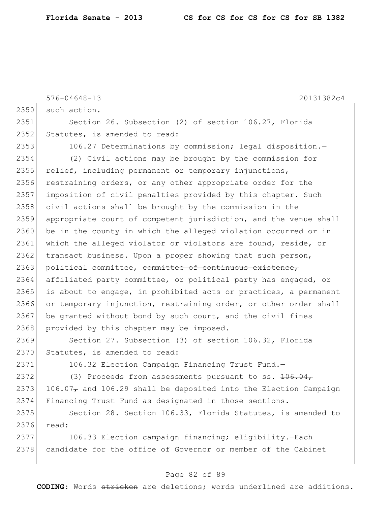|      | $576 - 04648 - 13$<br>20131382c4                                   |
|------|--------------------------------------------------------------------|
| 2350 | such action.                                                       |
| 2351 | Section 26. Subsection (2) of section 106.27, Florida              |
| 2352 | Statutes, is amended to read:                                      |
| 2353 | 106.27 Determinations by commission; legal disposition.-           |
| 2354 | (2) Civil actions may be brought by the commission for             |
| 2355 | relief, including permanent or temporary injunctions,              |
| 2356 | restraining orders, or any other appropriate order for the         |
| 2357 | imposition of civil penalties provided by this chapter. Such       |
| 2358 | civil actions shall be brought by the commission in the            |
| 2359 | appropriate court of competent jurisdiction, and the venue shall   |
| 2360 | be in the county in which the alleged violation occurred or in     |
| 2361 | which the alleged violator or violators are found, reside, or      |
| 2362 | transact business. Upon a proper showing that such person,         |
| 2363 | political committee, committee of continuous existence,            |
| 2364 | affiliated party committee, or political party has engaged, or     |
| 2365 | is about to engage, in prohibited acts or practices, a permanent   |
| 2366 | or temporary injunction, restraining order, or other order shall   |
| 2367 | be granted without bond by such court, and the civil fines         |
| 2368 | provided by this chapter may be imposed.                           |
| 2369 | Section 27. Subsection (3) of section 106.32, Florida              |
| 2370 | Statutes, is amended to read:                                      |
| 2371 | 106.32 Election Campaign Financing Trust Fund.-                    |
| 2372 | (3) Proceeds from assessments pursuant to ss. $106.04,$            |
| 2373 | $106.07T$ and 106.29 shall be deposited into the Election Campaign |
| 2374 | Financing Trust Fund as designated in those sections.              |
| 2375 | Section 28. Section 106.33, Florida Statutes, is amended to        |
| 2376 | read:                                                              |
| 2377 | 106.33 Election campaign financing; eligibility.-Each              |
| 2378 | candidate for the office of Governor or member of the Cabinet      |

# Page 82 of 89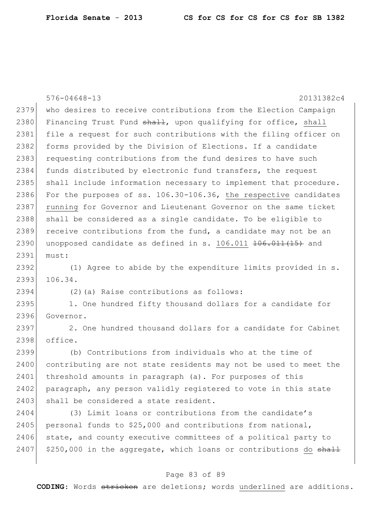576-04648-13 20131382c4 2379 who desires to receive contributions from the Election Campaign 2380 Financing Trust Fund  $\frac{1}{2}$ , upon qualifying for office, shall 2381 file a request for such contributions with the filing officer on 2382 forms provided by the Division of Elections. If a candidate 2383 requesting contributions from the fund desires to have such 2384 funds distributed by electronic fund transfers, the request 2385 shall include information necessary to implement that procedure. 2386 For the purposes of ss. 106.30-106.36, the respective candidates 2387 running for Governor and Lieutenant Governor on the same ticket 2388 shall be considered as a single candidate. To be eligible to  $2389$  receive contributions from the fund, a candidate may not be an 2390 unopposed candidate as defined in s.  $106.011$   $\overline{106.011(15)}$  and 2391 must: 2392 (1) Agree to abide by the expenditure limits provided in s. 2393 106.34. 2394 (2)(a) Raise contributions as follows: 2395 1. One hundred fifty thousand dollars for a candidate for 2396 Governor.  $2397$  2. One hundred thousand dollars for a candidate for Cabinet 2398 office. 2399 (b) Contributions from individuals who at the time of 2400 contributing are not state residents may not be used to meet the 2401 threshold amounts in paragraph (a). For purposes of this 2402 paragraph, any person validly registered to vote in this state 2403 shall be considered a state resident. 2404 (3) Limit loans or contributions from the candidate's

2405 personal funds to  $$25,000$  and contributions from national, 2406 state, and county executive committees of a political party to 2407  $\mid$  \$250,000 in the aggregate, which loans or contributions do shall

## Page 83 of 89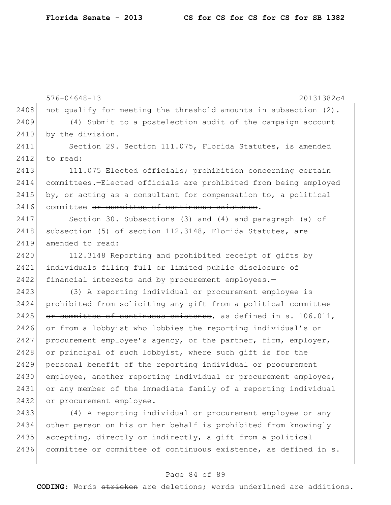576-04648-13 20131382c4 2408 not qualify for meeting the threshold amounts in subsection  $(2)$ . 2409 (4) Submit to a postelection audit of the campaign account 2410 by the division. 2411 Section 29. Section 111.075, Florida Statutes, is amended  $2412$  to read: 2413 111.075 Elected officials; prohibition concerning certain 2414 committees.—Elected officials are prohibited from being employed 2415 by, or acting as a consultant for compensation to, a political 2416 committee or committee of continuous existence. 2417 Section 30. Subsections (3) and (4) and paragraph (a) of 2418 subsection (5) of section 112.3148, Florida Statutes, are 2419 amended to read: 2420 112.3148 Reporting and prohibited receipt of gifts by 2421 individuals filing full or limited public disclosure of 2422 financial interests and by procurement employees.-2423 (3) A reporting individual or procurement employee is 2424 prohibited from soliciting any gift from a political committee 2425 or committee of continuous existence, as defined in s. 106.011, 2426 or from a lobbyist who lobbies the reporting individual's or  $2427$  procurement employee's agency, or the partner, firm, employer, 2428 or principal of such lobbyist, where such gift is for the 2429 personal benefit of the reporting individual or procurement 2430 employee, another reporting individual or procurement employee, 2431 or any member of the immediate family of a reporting individual 2432 or procurement employee.

 (4) A reporting individual or procurement employee or any other person on his or her behalf is prohibited from knowingly  $|$  accepting, directly or indirectly, a gift from a political 2436 committee or committee of continuous existence, as defined in s.

#### Page 84 of 89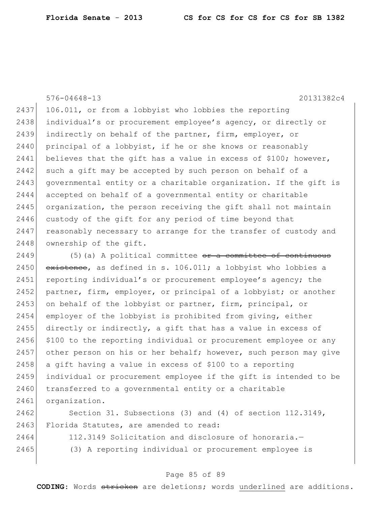576-04648-13 20131382c4  $2437$  106.011, or from a lobbyist who lobbies the reporting 2438 individual's or procurement employee's agency, or directly or 2439 indirectly on behalf of the partner, firm, employer, or 2440 principal of a lobbyist, if he or she knows or reasonably  $2441$  believes that the gift has a value in excess of \$100; however, 2442 such a gift may be accepted by such person on behalf of a 2443 governmental entity or a charitable organization. If the gift is 2444 accepted on behalf of a governmental entity or charitable 2445 organization, the person receiving the gift shall not maintain 2446 custody of the gift for any period of time beyond that  $2447$  reasonably necessary to arrange for the transfer of custody and 2448 ownership of the gift.

2449  $(5)$  (a) A political committee  $\sigma$ r a committee of continuous 2450  $\overline{ext{extence}}$ , as defined in s. 106.011; a lobbyist who lobbies a 2451 reporting individual's or procurement employee's agency; the 2452 partner, firm, employer, or principal of a lobbyist; or another 2453 on behalf of the lobbyist or partner, firm, principal, or 2454 employer of the lobbyist is prohibited from giving, either 2455 directly or indirectly, a gift that has a value in excess of 2456 \$100 to the reporting individual or procurement employee or any 2457 other person on his or her behalf; however, such person may give 2458 a gift having a value in excess of \$100 to a reporting 2459 individual or procurement employee if the gift is intended to be 2460 transferred to a governmental entity or a charitable 2461 organization.

2462 Section 31. Subsections (3) and (4) of section 112.3149, 2463 Florida Statutes, are amended to read:

- -

2464 112.3149 Solicitation and disclosure of honoraria.— 2465 (3) A reporting individual or procurement employee is

## Page 85 of 89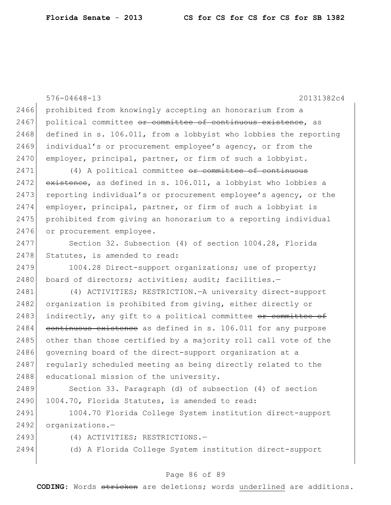576-04648-13 20131382c4 2466 prohibited from knowingly accepting an honorarium from a 2467 political committee or committee of continuous existence, as 2468 defined in s. 106.011, from a lobbyist who lobbies the reporting 2469 individual's or procurement employee's agency, or from the 2470 employer, principal, partner, or firm of such a lobbyist. 2471 (4) A political committee or committee of continuous  $2472$  existence, as defined in s. 106.011, a lobbyist who lobbies a 2473 reporting individual's or procurement employee's agency, or the 2474 employer, principal, partner, or firm of such a lobbyist is 2475 prohibited from giving an honorarium to a reporting individual 2476 or procurement employee. 2477 Section 32. Subsection (4) of section 1004.28, Florida 2478 Statutes, is amended to read: 2479 1004.28 Direct-support organizations; use of property; 2480 board of directors; activities; audit; facilities.-2481 (4) ACTIVITIES; RESTRICTION.—A university direct-support 2482 organization is prohibited from giving, either directly or 2483 indirectly, any gift to a political committee  $\sigma$  committee of  $2484$  continuous existence as defined in s. 106.011 for any purpose 2485 other than those certified by a majority roll call vote of the 2486 governing board of the direct-support organization at a 2487 regularly scheduled meeting as being directly related to the 2488 educational mission of the university. 2489 Section 33. Paragraph (d) of subsection (4) of section 2490 1004.70, Florida Statutes, is amended to read: 2491 1004.70 Florida College System institution direct-support 2492 organizations.-2493 (4) ACTIVITIES; RESTRICTIONS.

2494 (d) A Florida College System institution direct-support

## Page 86 of 89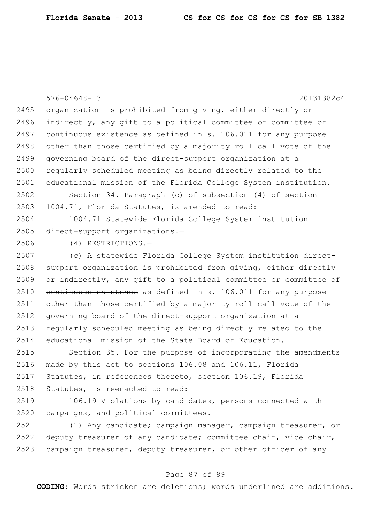|      | $576 - 04648 - 13$<br>20131382c4                                 |
|------|------------------------------------------------------------------|
| 2495 | organization is prohibited from giving, either directly or       |
| 2496 | indirectly, any gift to a political committee or committee of    |
| 2497 | continuous existence as defined in s. 106.011 for any purpose    |
| 2498 | other than those certified by a majority roll call vote of the   |
| 2499 | governing board of the direct-support organization at a          |
| 2500 | regularly scheduled meeting as being directly related to the     |
| 2501 | educational mission of the Florida College System institution.   |
| 2502 | Section 34. Paragraph (c) of subsection (4) of section           |
| 2503 | 1004.71, Florida Statutes, is amended to read:                   |
| 2504 | 1004.71 Statewide Florida College System institution             |
| 2505 | direct-support organizations.-                                   |
| 2506 | (4) RESTRICTIONS.-                                               |
| 2507 | (c) A statewide Florida College System institution direct-       |
| 2508 | support organization is prohibited from giving, either directly  |
| 2509 | or indirectly, any gift to a political committee or committee of |
| 2510 | continuous existence as defined in s. 106.011 for any purpose    |
| 2511 | other than those certified by a majority roll call vote of the   |
| 2512 | governing board of the direct-support organization at a          |
| 2513 | regularly scheduled meeting as being directly related to the     |
| 2514 | educational mission of the State Board of Education.             |
| 2515 | Section 35. For the purpose of incorporating the amendments      |
| 2516 | made by this act to sections 106.08 and 106.11, Florida          |
| 2517 | Statutes, in references thereto, section 106.19, Florida         |
| 2518 | Statutes, is reenacted to read:                                  |
| 2519 | 106.19 Violations by candidates, persons connected with          |
| 2520 | campaigns, and political committees.-                            |
| 2521 | (1) Any candidate; campaign manager, campaign treasurer, or      |
| 2522 | deputy treasurer of any candidate; committee chair, vice chair,  |
| 2523 | campaign treasurer, deputy treasurer, or other officer of any    |

# Page 87 of 89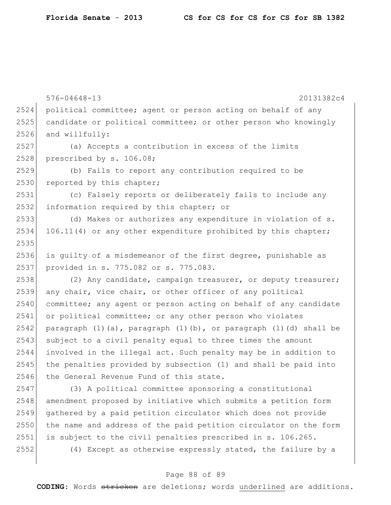|      | $576 - 04648 - 13$<br>20131382c4                                 |
|------|------------------------------------------------------------------|
| 2524 | political committee; agent or person acting on behalf of any     |
| 2525 | candidate or political committee; or other person who knowingly  |
| 2526 | and willfully:                                                   |
| 2527 | (a) Accepts a contribution in excess of the limits               |
| 2528 | prescribed by s. 106.08;                                         |
| 2529 | (b) Fails to report any contribution required to be              |
| 2530 | reported by this chapter;                                        |
| 2531 | (c) Falsely reports or deliberately fails to include any         |
| 2532 | information required by this chapter; or                         |
| 2533 | (d) Makes or authorizes any expenditure in violation of s.       |
| 2534 | 106.11(4) or any other expenditure prohibited by this chapter;   |
| 2535 |                                                                  |
| 2536 | is quilty of a misdemeanor of the first degree, punishable as    |
| 2537 | provided in s. 775.082 or s. 775.083.                            |
| 2538 | (2) Any candidate, campaign treasurer, or deputy treasurer;      |
| 2539 | any chair, vice chair, or other officer of any political         |
| 2540 | committee; any agent or person acting on behalf of any candidate |
| 2541 | or political committee; or any other person who violates         |
| 2542 | paragraph (1)(a), paragraph (1)(b), or paragraph (1)(d) shall be |
| 2543 | subject to a civil penalty equal to three times the amount       |
| 2544 | involved in the illegal act. Such penalty may be in addition to  |
| 2545 | the penalties provided by subsection (1) and shall be paid into  |
| 2546 | the General Revenue Fund of this state.                          |
| 2547 | (3) A political committee sponsoring a constitutional            |
| 2548 | amendment proposed by initiative which submits a petition form   |
| 2549 | gathered by a paid petition circulator which does not provide    |
| 2550 | the name and address of the paid petition circulator on the form |
| 2551 | is subject to the civil penalties prescribed in s. 106.265.      |
| 2552 | (4) Except as otherwise expressly stated, the failure by a       |

# Page 88 of 89